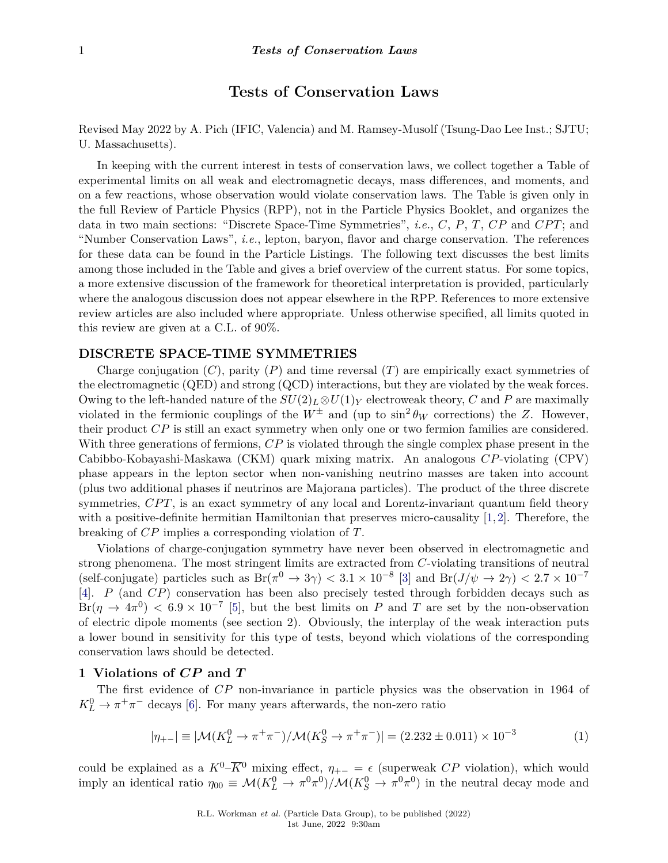# **Tests of Conservation Laws**

Revised May 2022 by A. Pich (IFIC, Valencia) and M. Ramsey-Musolf (Tsung-Dao Lee Inst.; SJTU; U. Massachusetts).

In keeping with the current interest in tests of conservation laws, we collect together a Table of experimental limits on all weak and electromagnetic decays, mass differences, and moments, and on a few reactions, whose observation would violate conservation laws. The Table is given only in the full Review of Particle Physics (RPP), not in the Particle Physics Booklet, and organizes the data in two main sections: "Discrete Space-Time Symmetries", *i.e.*, *C*, *P*, *T*, *CP* and *CP T*; and "Number Conservation Laws", *i.e.*, lepton, baryon, flavor and charge conservation. The references for these data can be found in the Particle Listings. The following text discusses the best limits among those included in the Table and gives a brief overview of the current status. For some topics, a more extensive discussion of the framework for theoretical interpretation is provided, particularly where the analogous discussion does not appear elsewhere in the RPP. References to more extensive review articles are also included where appropriate. Unless otherwise specified, all limits quoted in this review are given at a C.L. of 90%.

## **DISCRETE SPACE-TIME SYMMETRIES**

Charge conjugation (*C*), parity (*P*) and time reversal (*T*) are empirically exact symmetries of the electromagnetic (QED) and strong (QCD) interactions, but they are violated by the weak forces. Owing to the left-handed nature of the  $SU(2)_L \otimes U(1)_Y$  electroweak theory, *C* and *P* are maximally violated in the fermionic couplings of the  $W^{\pm}$  and (up to  $\sin^2 \theta_W$  corrections) the *Z*. However, their product *CP* is still an exact symmetry when only one or two fermion families are considered. With three generations of fermions, *CP* is violated through the single complex phase present in the Cabibbo-Kobayashi-Maskawa (CKM) quark mixing matrix. An analogous *CP*-violating (CPV) phase appears in the lepton sector when non-vanishing neutrino masses are taken into account (plus two additional phases if neutrinos are Majorana particles). The product of the three discrete symmetries, *CPT*, is an exact symmetry of any local and Lorentz-invariant quantum field theory with a positive-definite hermitian Hamiltonian that preserves micro-causality [\[1,](#page-15-0)[2\]](#page-15-1). Therefore, the breaking of *CP* implies a corresponding violation of *T*.

Violations of charge-conjugation symmetry have never been observed in electromagnetic and strong phenomena. The most stringent limits are extracted from *C*-violating transitions of neutral (self-conjugate) particles such as  $Br(\pi^0 \to 3\gamma) < 3.1 \times 10^{-8}$  [\[3\]](#page-15-2) and  $Br(J/\psi \to 2\gamma) < 2.7 \times 10^{-7}$ [\[4\]](#page-15-3). *P* (and *CP*) conservation has been also precisely tested through forbidden decays such as  $Br(\eta \to 4\pi^0) < 6.9 \times 10^{-7}$  [\[5\]](#page-15-4), but the best limits on *P* and *T* are set by the non-observation of electric dipole moments (see section 2). Obviously, the interplay of the weak interaction puts a lower bound in sensitivity for this type of tests, beyond which violations of the corresponding conservation laws should be detected.

## **1 Violations of** *CP* **and** *T*

The first evidence of *CP* non-invariance in particle physics was the observation in 1964 of  $K_L^0 \rightarrow \pi^+ \pi^-$  decays [\[6\]](#page-15-5). For many years afterwards, the non-zero ratio

$$
|\eta_{+-}| \equiv |\mathcal{M}(K_L^0 \to \pi^+ \pi^-)/\mathcal{M}(K_S^0 \to \pi^+ \pi^-)| = (2.232 \pm 0.011) \times 10^{-3}
$$
 (1)

could be explained as a  $K^0-\overline{K}0$  mixing effect,  $\eta_{+-} = \epsilon$  (superweak *CP* violation), which would imply an identical ratio  $\eta_{00} \equiv \mathcal{M}(K_L^0 \to \pi^0 \pi^0)/\mathcal{M}(K_S^0 \to \pi^0 \pi^0)$  in the neutral decay mode and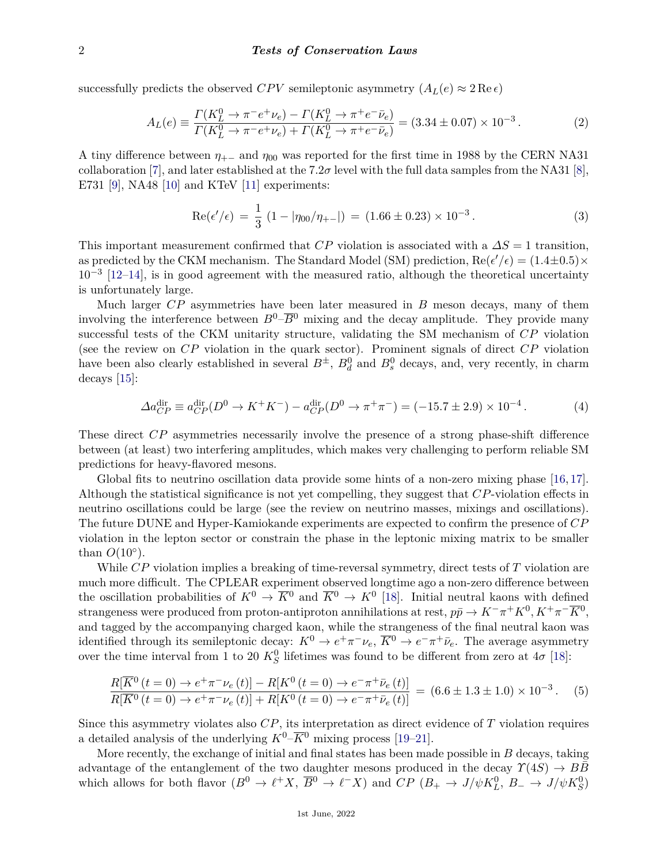successfully predicts the observed *CPV* semileptonic asymmetry  $(A_L(e) \approx 2 \text{Re } \epsilon)$ 

$$
A_L(e) \equiv \frac{\Gamma(K_L^0 \to \pi^- e^+ \nu_e) - \Gamma(K_L^0 \to \pi^+ e^- \bar{\nu}_e)}{\Gamma(K_L^0 \to \pi^- e^+ \nu_e) + \Gamma(K_L^0 \to \pi^+ e^- \bar{\nu}_e)} = (3.34 \pm 0.07) \times 10^{-3} \,. \tag{2}
$$

A tiny difference between  $\eta_{+-}$  and  $\eta_{00}$  was reported for the first time in 1988 by the CERN NA31 collaboration [\[7\]](#page-15-6), and later established at the  $7.2\sigma$  level with the full data samples from the NA31 [\[8\]](#page-15-7), E731 [\[9\]](#page-15-8), NA48 [\[10\]](#page-15-9) and KTeV [\[11\]](#page-15-10) experiments:

$$
Re(\epsilon'/\epsilon) = \frac{1}{3} (1 - |\eta_{00}/\eta_{+-}|) = (1.66 \pm 0.23) \times 10^{-3}.
$$
 (3)

This important measurement confirmed that *CP* violation is associated with a *∆S* = 1 transition, as predicted by the CKM mechanism. The Standard Model (SM) prediction,  $\text{Re}(\epsilon'/\epsilon) = (1.4 \pm 0.5) \times$  $10^{-3}$  [\[12–](#page-15-11)[14\]](#page-15-12), is in good agreement with the measured ratio, although the theoretical uncertainty is unfortunately large.

Much larger *CP* asymmetries have been later measured in *B* meson decays, many of them involving the interference between  $B^0$ – $\overline{B}^0$  mixing and the decay amplitude. They provide many successful tests of the CKM unitarity structure, validating the SM mechanism of *CP* violation (see the review on *CP* violation in the quark sector). Prominent signals of direct *CP* violation have been also clearly established in several  $B^{\pm}$ ,  $B_d^0$  and  $B_s^0$  decays, and, very recently, in charm decays [\[15\]](#page-15-13):

$$
\Delta a_{CP}^{\text{dir}} \equiv a_{CP}^{\text{dir}}(D^0 \to K^+K^-) - a_{CP}^{\text{dir}}(D^0 \to \pi^+\pi^-) = (-15.7 \pm 2.9) \times 10^{-4} \,. \tag{4}
$$

These direct *CP* asymmetries necessarily involve the presence of a strong phase-shift difference between (at least) two interfering amplitudes, which makes very challenging to perform reliable SM predictions for heavy-flavored mesons.

Global fits to neutrino oscillation data provide some hints of a non-zero mixing phase [\[16,](#page-15-14) [17\]](#page-15-15). Although the statistical significance is not yet compelling, they suggest that *CP*-violation effects in neutrino oscillations could be large (see the review on neutrino masses, mixings and oscillations). The future DUNE and Hyper-Kamiokande experiments are expected to confirm the presence of *CP* violation in the lepton sector or constrain the phase in the leptonic mixing matrix to be smaller than  $O(10^{\circ})$ .

While *CP* violation implies a breaking of time-reversal symmetry, direct tests of *T* violation are much more difficult. The CPLEAR experiment observed longtime ago a non-zero difference between the oscillation probabilities of  $K^0 \to \overline{K}{}^0$  and  $\overline{K}{}^0 \to K^0$  [\[18\]](#page-15-16). Initial neutral kaons with defined strangeness were produced from proton-antiproton annihilations at rest,  $p\bar{p} \to K^-\pi^+K^0, K^+\pi^-\overline{K}^0$ , and tagged by the accompanying charged kaon, while the strangeness of the final neutral kaon was identified through its semileptonic decay:  $K^0 \to e^+ \pi^- \nu_e$ ,  $\overline{K}{}^0 \to e^- \pi^+ \bar{\nu}_e$ . The average asymmetry over the time interval from 1 to 20  $K_S^0$  lifetimes was found to be different from zero at  $4\sigma$  [\[18\]](#page-15-16):

$$
\frac{R[\overline{K}^0(t=0) \to e^+\pi^-\nu_e(t)] - R[K^0(t=0) \to e^-\pi^+\bar{\nu}_e(t)]}{R[\overline{K}^0(t=0) \to e^+\pi^-\nu_e(t)] + R[K^0(t=0) \to e^-\pi^+\bar{\nu}_e(t)]} = (6.6 \pm 1.3 \pm 1.0) \times 10^{-3}.
$$
 (5)

Since this asymmetry violates also *CP*, its interpretation as direct evidence of *T* violation requires a detailed analysis of the underlying  $K^0-\overline{K}^0$  mixing process [\[19](#page-15-17)[–21\]](#page-15-18).

More recently, the exchange of initial and final states has been made possible in *B* decays, taking advantage of the entanglement of the two daughter mesons produced in the decay  $\Upsilon(4S) \rightarrow B\overline{B}$ which allows for both flavor  $(B^0 \to \ell^+ X, \ \overline{B}^0 \to \ell^- X)$  and  $CP (B_+ \to J/\psi K_L^0, \ B_- \to J/\psi K_S^0)$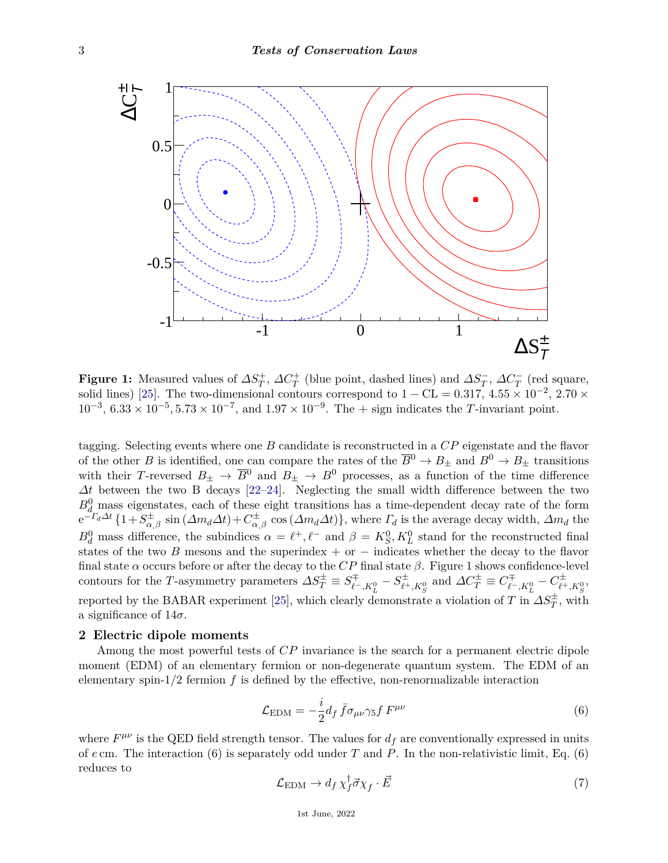

solid lines) [\[25\]](#page-16-0). The two-dimensional contours correspond to  $1 - CL = 0.317, 4.55 \times 10^{-2}, 2.70 \times 10^{-3}$  6.33 × 10<sup>-5</sup>, 5.73 × 10<sup>-7</sup>, and 1.97 × 10<sup>-9</sup>. The limit indicates the *T* invariant point and  $\alpha$  red square) and two-dimensional  $\alpha$  contours for  $\alpha$  in  $\alpha$  is  $\alpha$ **Figure 1:** Measured values of  $\Delta S_T^+$ ,  $\Delta C_T^+$  (blue point, dashed lines) and  $\Delta S_T^-$ ,  $\Delta C_T^-$  (red square,  $10^{-3}$ ,  $6.33 \times 10^{-5}$ ,  $5.73 \times 10^{-7}$ , and  $1.97 \times 10^{-9}$ . The  $+$  sign indicates the *T*-invariant point.

tagging. Selecting events where one *B* candidate is reconstructed in a *CP* eigenstate and the flavor of the other *B* is identified, one can compare the rates of the  $\overline{B}^0 \to B_{\pm}$  and  $B^0 \to B_{\pm}$  transitions with their *T*-reversed  $B_{+} \to \overline{B}^0$  and  $B_{+} \to B^0$  processes, as a function of the time difference  $\Delta t$  between the two B decays [\[22–](#page-15-19)24]. Neglecting the small width difference between the two  $\frac{\partial Q}{\partial d}$  mass eigenstates, each of these eight transitions has a time-dependent decay rate of the form  $-\Gamma_d \Delta t$  {1+ $S^{\pm}$ } sin  $(\Delta m_d \Delta t) + C^{\pm}$ } cos $(\Delta m_d \Delta t)$ }, where  $\Gamma_d$  is the average decay width.  $\Delta m_d$  the  $e^{-T_d\Delta t} \{1 + S_{\alpha,\beta}^{\pm} \sin(\Delta m_d\Delta t) + C_{\alpha,\beta}^{\pm} \cos(\Delta m_d\Delta t)\}\,$ , where  $\Gamma_d$  is the average decay width,  $\Delta m_d$  the  $B^0$  mass difference the subjudices  $\alpha = \ell^+ \ell^-$  and  $\beta = K^0$ ,  $K^0$  stand for the reconstructed final  $B_d^0$  mass difference, the subindices  $\alpha = \ell^+, \ell^-$  and  $\beta = K_S^0, K_L^0$  stand for the reconstructed final  $\frac{a}{\text{tates of the two}}$ wo  $\overrightarrow{B}$  mesons states of the two *B* mesons and the superindex + or − indicates whether the decay to the flavor final state  $\alpha$  occurs before or after the decay to the  $CP$  final state  $\beta$ . Figure 1 shows confidence-level<br>contours for the T-asymmetry parameters  $\Delta S_T^\pm \equiv S_{\ell^-,K^0_L}^\mp - S_{\ell^+,K^0_S}^\pm$  and  $\Delta C_T^\pm \equiv C_{\ell^-,K^0_L}^\mp - C_{\ell^$ with their *T*-reversed  $B_{\pm} \to \overline{B}^0$  and  $B_{\pm} \to B^0$  processes, as a function of the time difference  $B_{d}^{0}$  mass eigenstates, each of these eight transitions has a time-dependent decay rate of the form  $\frac{d^{\pm}}{\alpha,\beta}$  sin  $(\Delta m_d \Delta t) + C^{\pm}_{\alpha,\beta}$  $\frac{d\pi}{d\alpha,\beta}$  cos  $(\Delta m_d \Delta t)$ , where  $\Gamma_d$  is the average decay width,  $\Delta m_d$  the final state  $\alpha$  occurs before or after the decay to the *CP* final state  $\beta$ . Figure 1 shows confidence-level reported by the BABAR experiment [\[25\]](#page-16-0), which clearly demonstrate a violation of *T* in  $\Delta S_T^{\pm}$ , with a significance of  $14\sigma$ .

#### **2 Electric dipole moments**

Among the most powerful tests of *CP* invariance is the search for a permanent electric dipole moment (EDM) of an elementary fermion or non-degenerate quantum system. The EDM of an elementary spin-1*/*2 fermion *f* is defined by the effective, non-renormalizable interaction

$$
\mathcal{L}_{\text{EDM}} = -\frac{i}{2} d_f \bar{f} \sigma_{\mu\nu} \gamma_5 f F^{\mu\nu} \tag{6}
$$

where  $F^{\mu\nu}$  is the QED field strength tensor. The values for  $d_f$  are conventionally expressed in units of *e* cm. The interaction (6) is separately odd under *T* and *P*. In the non-relativistic limit, Eq. (6) reduces to  $\frac{1}{2}$  and B<sub>0</sub> reduces to

$$
\mathcal{L}_{\text{EDM}} \to d_f \, \chi_f^{\dagger} \vec{\sigma} \chi_f \cdot \vec{E} \tag{7}
$$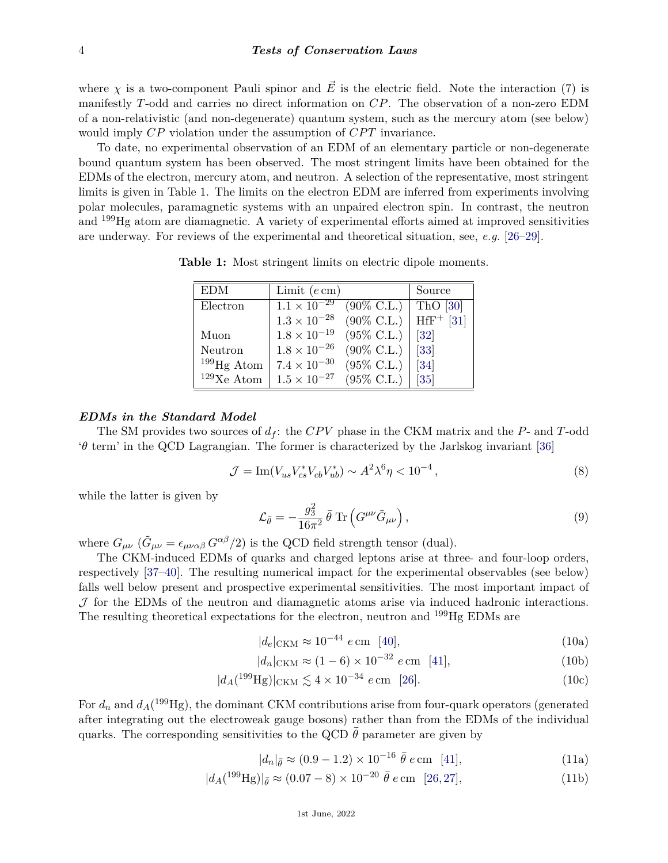where *χ* is a two-component Pauli spinor and  $\vec{E}$  is the electric field. Note the interaction (7) is manifestly *T*-odd and carries no direct information on *CP*. The observation of a non-zero EDM of a non-relativistic (and non-degenerate) quantum system, such as the mercury atom (see below) would imply *CP* violation under the assumption of *CPT* invariance.

To date, no experimental observation of an EDM of an elementary particle or non-degenerate bound quantum system has been observed. The most stringent limits have been obtained for the EDMs of the electron, mercury atom, and neutron. A selection of the representative, most stringent limits is given in Table 1. The limits on the electron EDM are inferred from experiments involving polar molecules, paramagnetic systems with an unpaired electron spin. In contrast, the neutron and <sup>199</sup>Hg atom are diamagnetic. A variety of experimental efforts aimed at improved sensitivities are underway. For reviews of the experimental and theoretical situation, see, *e.g.* [\[26–](#page-16-1)[29\]](#page-16-2).

**Table 1:** Most stringent limits on electric dipole moments.

| <b>EDM</b>    | Limit $(e \, cm)$                |                       | Source            |
|---------------|----------------------------------|-----------------------|-------------------|
| Electron      | $1.1 \times \overline{10^{-29}}$ | $(90\% \text{ C.L.})$ | ThO $[30]$        |
|               | $1.3\times10^{-28}$              | $(90\% \text{ C.L.})$ | $HfF^+$ [31]      |
| Muon          | $1.8\times10^{-19}$              | $(95\% \text{ C.L.})$ | $\left[32\right]$ |
| Neutron       | $1.8 \times 10^{-26}$            | $(90\% \text{ C.L.})$ | $[33]$            |
| $199$ Hg Atom | $7.4 \times 10^{-30}$            | $(95\% \text{ C.L.})$ | [34]              |
| $129$ Xe Atom | $1.5 \times 10^{-27}$            | $(95\% \text{ C.L.})$ | $[35]$            |

#### *EDMs in the Standard Model*

The SM provides two sources of  $d_f$ : the  $CPV$  phase in the CKM matrix and the  $P$ - and  $T$ -odd '*θ* term' in the QCD Lagrangian. The former is characterized by the Jarlskog invariant [\[36\]](#page-16-9)

$$
\mathcal{J} = \text{Im}(V_{us} V_{cs}^* V_{cb} V_{ub}^*) \sim A^2 \lambda^6 \eta < 10^{-4} \,, \tag{8}
$$

while the latter is given by

$$
\mathcal{L}_{\bar{\theta}} = -\frac{g_3^2}{16\pi^2} \bar{\theta} \operatorname{Tr} \left( G^{\mu\nu} \tilde{G}_{\mu\nu} \right), \qquad (9)
$$

where  $G_{\mu\nu}$  ( $\tilde{G}_{\mu\nu} = \epsilon_{\mu\nu\alpha\beta} G^{\alpha\beta}/2$ ) is the QCD field strength tensor (dual).

The CKM-induced EDMs of quarks and charged leptons arise at three- and four-loop orders, respectively [\[37–](#page-16-10)[40\]](#page-16-11). The resulting numerical impact for the experimental observables (see below) falls well below present and prospective experimental sensitivities. The most important impact of  $J$  for the EDMs of the neutron and diamagnetic atoms arise via induced hadronic interactions. The resulting theoretical expectations for the electron, neutron and <sup>199</sup>Hg EDMs are

$$
|d_e|_{\text{CKM}} \approx 10^{-44} \, e \,\text{cm} \quad [40], \tag{10a}
$$

$$
|d_n|_{\text{CKM}} \approx (1 - 6) \times 10^{-32} \ e \, \text{cm} \quad [41], \tag{10b}
$$

$$
|d_A(^{199}\text{Hg})|_{\text{CKM}} \lesssim 4 \times 10^{-34} \ e \, \text{cm} \quad [26]. \tag{10c}
$$

For  $d_n$  and  $d_A$ (<sup>199</sup>Hg), the dominant CKM contributions arise from four-quark operators (generated after integrating out the electroweak gauge bosons) rather than from the EDMs of the individual quarks. The corresponding sensitivities to the QCD  $\bar{\theta}$  parameter are given by

$$
|d_n|_{\bar{\theta}} \approx (0.9 - 1.2) \times 10^{-16} \bar{\theta} e \text{ cm} \quad [41], \tag{11a}
$$

$$
|d_A(^{199}\text{Hg})|_{\bar{\theta}} \approx (0.07 - 8) \times 10^{-20} \bar{\theta} e \text{ cm} \quad [26, 27], \tag{11b}
$$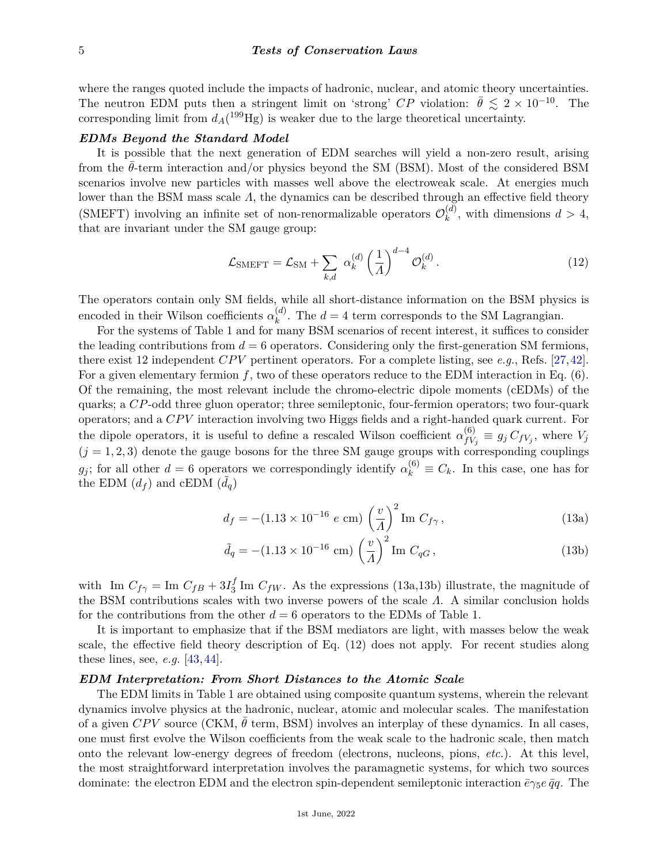where the ranges quoted include the impacts of hadronic, nuclear, and atomic theory uncertainties. The neutron EDM puts then a stringent limit on 'strong'  $CP$  violation:  $\bar{\theta} \leq 2 \times 10^{-10}$ . The corresponding limit from  $d_A(^{199}\text{Hg})$  is weaker due to the large theoretical uncertainty.

### *EDMs Beyond the Standard Model*

It is possible that the next generation of EDM searches will yield a non-zero result, arising from the  $\theta$ -term interaction and/or physics beyond the SM (BSM). Most of the considered BSM scenarios involve new particles with masses well above the electroweak scale. At energies much lower than the BSM mass scale *Λ*, the dynamics can be described through an effective field theory (SMEFT) involving an infinite set of non-renormalizable operators  $\mathcal{O}_k^{(d)}$  $k^{(u)}$ , with dimensions  $d > 4$ , that are invariant under the SM gauge group:

$$
\mathcal{L}_{\text{SMEFT}} = \mathcal{L}_{\text{SM}} + \sum_{k,d} \alpha_k^{(d)} \left(\frac{1}{A}\right)^{d-4} \mathcal{O}_k^{(d)}.
$$
 (12)

The operators contain only SM fields, while all short-distance information on the BSM physics is encoded in their Wilson coefficients  $\alpha_k^{(d)}$  $k^{(a)}$ . The  $d = 4$  term corresponds to the SM Lagrangian.

For the systems of Table 1 and for many BSM scenarios of recent interest, it suffices to consider the leading contributions from  $d = 6$  operators. Considering only the first-generation SM fermions, there exist 12 independent *CPV* pertinent operators. For a complete listing, see *e.g.*, Refs. [\[27,](#page-16-13)[42\]](#page-16-14). For a given elementary fermion *f*, two of these operators reduce to the EDM interaction in Eq. (6). Of the remaining, the most relevant include the chromo-electric dipole moments (cEDMs) of the quarks; a *CP*-odd three gluon operator; three semileptonic, four-fermion operators; two four-quark operators; and a *CP V* interaction involving two Higgs fields and a right-handed quark current. For the dipole operators, it is useful to define a rescaled Wilson coefficient  $\alpha_{fV}^{(6)}$  $f_{V_j}^{(0)} \equiv g_j C_{fV_j}$ , where  $V_j$  $(j = 1, 2, 3)$  denote the gauge bosons for the three SM gauge groups with corresponding couplings *g*<sub>j</sub>; for all other  $d = 6$  operators we correspondingly identify  $\alpha_k^{(6)} \equiv C_k$ . In this case, one has for the EDM  $(d_f)$  and cEDM  $(\tilde{d}_q)$ 

$$
d_f = -(1.13 \times 10^{-16} \ e \text{ cm}) \left(\frac{v}{A}\right)^2 \text{Im } C_{f\gamma}, \qquad (13a)
$$

$$
\tilde{d}_q = -(1.13 \times 10^{-16} \text{ cm}) \left(\frac{v}{A}\right)^2 \text{Im } C_{qG}, \qquad (13b)
$$

with Im  $C_{f\gamma} = \text{Im } C_{fB} + 3I_3^f$  $J_3^J$  Im  $C_{fW}$ . As the expressions (13a,13b) illustrate, the magnitude of the BSM contributions scales with two inverse powers of the scale *Λ*. A similar conclusion holds for the contributions from the other  $d = 6$  operators to the EDMs of Table 1.

It is important to emphasize that if the BSM mediators are light, with masses below the weak scale, the effective field theory description of Eq. (12) does not apply. For recent studies along these lines, see, *e.g.* [\[43,](#page-16-15) [44\]](#page-16-16).

#### *EDM Interpretation: From Short Distances to the Atomic Scale*

The EDM limits in Table 1 are obtained using composite quantum systems, wherein the relevant dynamics involve physics at the hadronic, nuclear, atomic and molecular scales. The manifestation of a given *CPV* source (CKM,  $\theta$  term, BSM) involves an interplay of these dynamics. In all cases, one must first evolve the Wilson coefficients from the weak scale to the hadronic scale, then match onto the relevant low-energy degrees of freedom (electrons, nucleons, pions, *etc.*). At this level, the most straightforward interpretation involves the paramagnetic systems, for which two sources dominate: the electron EDM and the electron spin-dependent semileptonic interaction  $\bar{e}\gamma_5 e \bar{q}q$ . The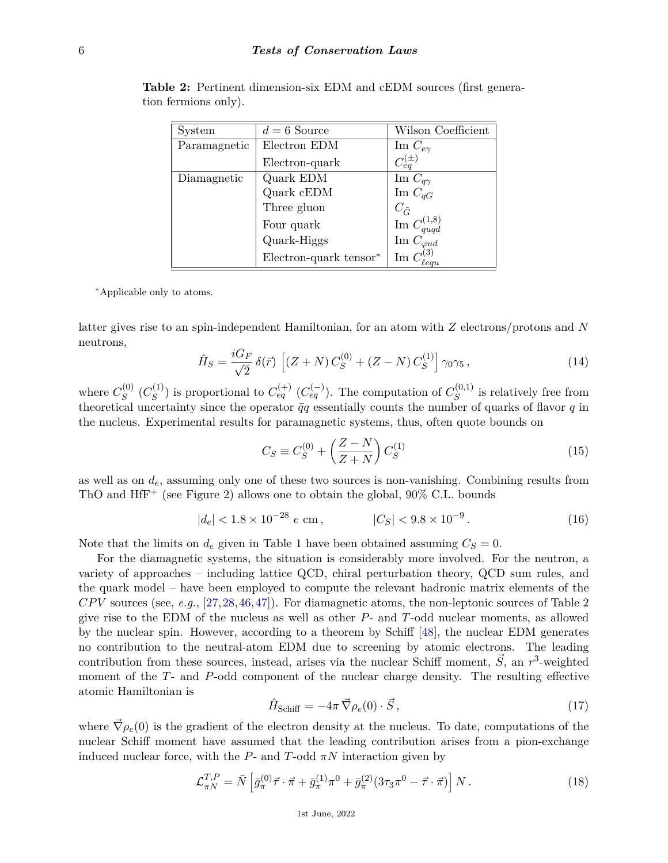| System       | $d=6$ Source           | Wilson Coefficient                                                             |
|--------------|------------------------|--------------------------------------------------------------------------------|
| Paramagnetic | Electron EDM           | Im $C_{e\gamma}$                                                               |
|              | Electron-quark         | $C_{eq}^{(\pm)}$                                                               |
| Diamagnetic  | Quark EDM              | Im $C_{q\gamma}$                                                               |
|              | Quark cEDM             | Im $C_{qG}$                                                                    |
|              | Three gluon            |                                                                                |
|              | Four quark             | $\begin{array}{c} C_{\tilde{G}} \\ \mathrm{Im} \ C_{quqd}^{(1,8)} \end{array}$ |
|              | Quark-Higgs            | Im $C_{\varphi ud}$                                                            |
|              | Electron-quark tensor* |                                                                                |

**Table 2:** Pertinent dimension-six EDM and cEDM sources (first generation fermions only).

<span id="page-5-0"></span><sup>∗</sup>Applicable only to atoms.

latter gives rise to an spin-independent Hamiltonian, for an atom with *Z* electrons/protons and *N* neutrons,

$$
\hat{H}_S = \frac{iG_F}{\sqrt{2}} \,\delta(\vec{r}) \left[ (Z+N) \, C_S^{(0)} + (Z-N) \, C_S^{(1)} \right] \gamma_0 \gamma_5 \,, \tag{14}
$$

where  $C_S^{(0)}$  $\stackrel{\cdot (0)}{S}\stackrel{\cdot (C_S^{(1)}}{S}$  $S^{(1)}$ ) is proportional to  $C_{eq}^{(+)}$  ( $C_{eq}^{(-)}$ ). The computation of  $C_S^{(0,1)}$  $S^{(0,1)}$  is relatively free from theoretical uncertainty since the operator  $\bar{q}q$  essentially counts the number of quarks of flavor  $q$  in the nucleus. Experimental results for paramagnetic systems, thus, often quote bounds on

$$
C_S \equiv C_S^{(0)} + \left(\frac{Z - N}{Z + N}\right) C_S^{(1)}\tag{15}
$$

as well as on *de*, assuming only one of these two sources is non-vanishing. Combining results from ThO and  $H f$ <sup>+</sup> (see Figure 2) allows one to obtain the global,  $90\%$  C.L. bounds

$$
|d_e| < 1.8 \times 10^{-28} \, e \, \text{cm} \,, \qquad |C_S| < 9.8 \times 10^{-9} \,. \tag{16}
$$

Note that the limits on  $d_e$  given in Table 1 have been obtained assuming  $C_S = 0$ .

For the diamagnetic systems, the situation is considerably more involved. For the neutron, a variety of approaches – including lattice QCD, chiral perturbation theory, QCD sum rules, and the quark model – have been employed to compute the relevant hadronic matrix elements of the *CP V* sources (see, *e.g.*, [\[27,](#page-16-13)[28,](#page-16-17)[46,](#page-16-18)[47\]](#page-16-19)). For diamagnetic atoms, the non-leptonic sources of Table 2 give rise to the EDM of the nucleus as well as other *P*- and *T*-odd nuclear moments, as allowed by the nuclear spin. However, according to a theorem by Schiff [\[48\]](#page-16-20), the nuclear EDM generates no contribution to the neutral-atom EDM due to screening by atomic electrons. The leading contribution from these sources, instead, arises via the nuclear Schiff moment,  $\vec{S}$ , an  $r^3$ -weighted moment of the *T*- and *P*-odd component of the nuclear charge density. The resulting effective atomic Hamiltonian is

$$
\hat{H}_{\text{Schiff}} = -4\pi \vec{\nabla}\rho_e(0) \cdot \vec{S},\qquad(17)
$$

where  $\vec{\nabla}\rho_e(0)$  is the gradient of the electron density at the nucleus. To date, computations of the nuclear Schiff moment have assumed that the leading contribution arises from a pion-exchange induced nuclear force, with the  $P$ - and  $T$ -odd  $\pi N$  interaction given by

$$
\mathcal{L}_{\pi N}^{T,P} = \bar{N} \left[ \bar{g}_{\pi}^{(0)} \vec{\tau} \cdot \vec{\pi} + \bar{g}_{\pi}^{(1)} \pi^0 + \bar{g}_{\pi}^{(2)} (3\tau_3 \pi^0 - \vec{\tau} \cdot \vec{\pi}) \right] N. \tag{18}
$$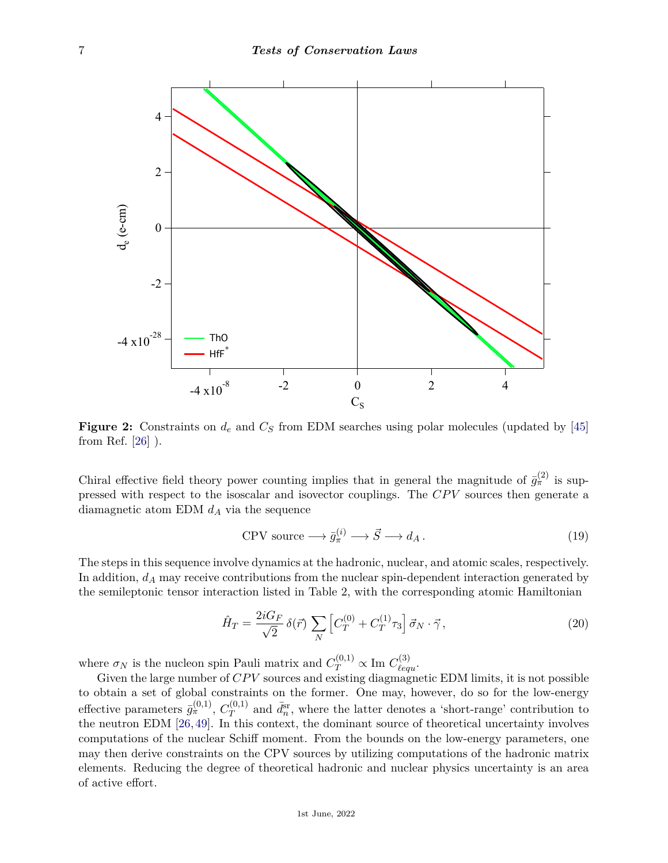

**Figure 2:** Constraints on *d<sup>e</sup>* and *C<sup>S</sup>* from EDM searches using polar molecules (updated by [\[45\]](#page-16-21) from Ref. [\[26\]](#page-16-1) ).

Chiral effective field theory power counting implies that in general the magnitude of  $\bar{g}_{\pi}^{(2)}$  is suppressed with respect to the isoscalar and isovector couplings. The *CPV* sources then generate a diamagnetic atom EDM *d<sup>A</sup>* via the sequence

$$
CPV \text{ source} \longrightarrow \bar{g}_{\pi}^{(i)} \longrightarrow \vec{S} \longrightarrow d_A. \tag{19}
$$

The steps in this sequence involve dynamics at the hadronic, nuclear, and atomic scales, respectively. In addition, *d<sup>A</sup>* may receive contributions from the nuclear spin-dependent interaction generated by the semileptonic tensor interaction listed in Table 2, with the corresponding atomic Hamiltonian

$$
\hat{H}_T = \frac{2iG_F}{\sqrt{2}} \,\delta(\vec{r}) \sum_N \left[ C_T^{(0)} + C_T^{(1)} \tau_3 \right] \vec{\sigma}_N \cdot \vec{\gamma},\tag{20}
$$

where  $\sigma_N$  is the nucleon spin Pauli matrix and  $C_T^{(0,1)} \propto \text{Im } C_{\ell equ}^{(3)}$ .

Given the large number of *CPV* sources and existing diagmagnetic EDM limits, it is not possible to obtain a set of global constraints on the former. One may, however, do so for the low-energy effective parameters  $\bar{g}^{(0,1)}_{\pi}$ ,  $C_T^{(0,1)}$  $\bar{q}^{(0,1)}$  and  $\bar{d}^{\text{sr}}_n$ , where the latter denotes a 'short-range' contribution to the neutron EDM [\[26,](#page-16-1) [49\]](#page-16-22). In this context, the dominant source of theoretical uncertainty involves computations of the nuclear Schiff moment. From the bounds on the low-energy parameters, one may then derive constraints on the CPV sources by utilizing computations of the hadronic matrix elements. Reducing the degree of theoretical hadronic and nuclear physics uncertainty is an area of active effort.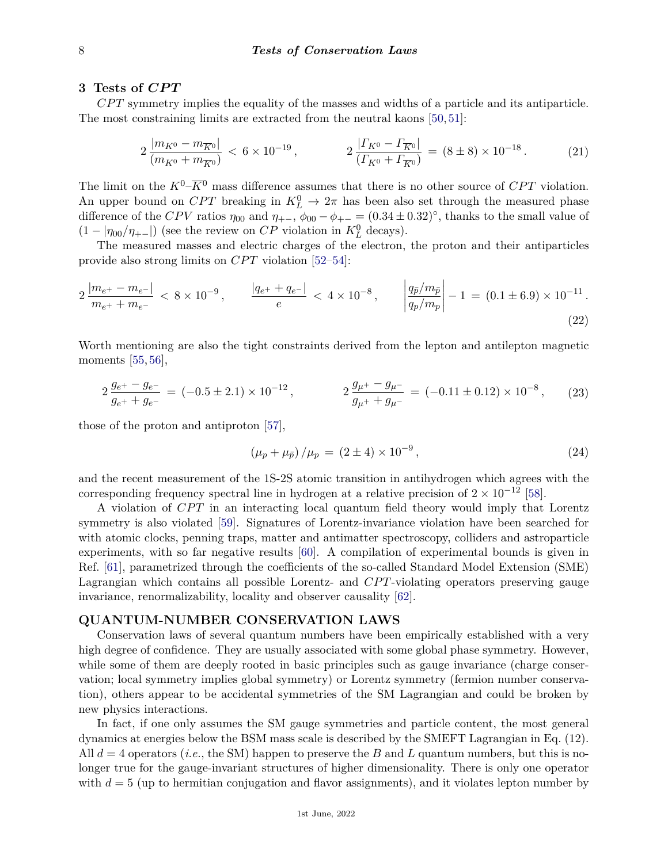### **3 Tests of** *CP T*

*CP T* symmetry implies the equality of the masses and widths of a particle and its antiparticle. The most constraining limits are extracted from the neutral kaons [\[50,](#page-16-23) [51\]](#page-16-24):

$$
2\frac{|m_{K^0} - m_{\overline{K}^0}|}{(m_{K^0} + m_{\overline{K}^0})} < 6 \times 10^{-19}, \qquad 2\frac{|T_{K^0} - T_{\overline{K}^0}|}{(T_{K^0} + T_{\overline{K}^0})} = (8 \pm 8) \times 10^{-18}.
$$
 (21)

The limit on the  $K^0$ – $\overline{K}$ <sup>0</sup> mass difference assumes that there is no other source of *CPT* violation. An upper bound on  $CPT$  breaking in  $K^0_L \to 2\pi$  has been also set through the measured phase difference of the *CPV* ratios  $\eta_{00}$  and  $\eta_{+-}$ ,  $\phi_{00} - \phi_{+-} = (0.34 \pm 0.32)^\circ$ , thanks to the small value of  $(1 - |\eta_{00}/\eta_{+-}|)$  (see the review on *CP* violation in  $K^0_L$  decays).

The measured masses and electric charges of the electron, the proton and their antiparticles provide also strong limits on *CPT* violation [\[52](#page-16-25)[–54\]](#page-16-26):

$$
2\frac{|m_{e^{+}} - m_{e^{-}}|}{m_{e^{+}} + m_{e^{-}}} < 8 \times 10^{-9}, \qquad \frac{|q_{e^{+}} + q_{e^{-}}|}{e} < 4 \times 10^{-8}, \qquad \left|\frac{q_{\bar{p}}/m_{\bar{p}}}{q_{p}/m_{p}}\right| - 1 = (0.1 \pm 6.9) \times 10^{-11}.
$$
\n(22)

Worth mentioning are also the tight constraints derived from the lepton and antilepton magnetic moments [\[55,](#page-16-27) [56\]](#page-16-28),

$$
2\frac{g_{e^+} - g_{e^-}}{g_{e^+} + g_{e^-}} = (-0.5 \pm 2.1) \times 10^{-12}, \qquad 2\frac{g_{\mu^+} - g_{\mu^-}}{g_{\mu^+} + g_{\mu^-}} = (-0.11 \pm 0.12) \times 10^{-8}, \qquad (23)
$$

those of the proton and antiproton [\[57\]](#page-16-29),

$$
(\mu_p + \mu_{\bar{p}}) / \mu_p = (2 \pm 4) \times 10^{-9}, \qquad (24)
$$

and the recent measurement of the 1S-2S atomic transition in antihydrogen which agrees with the corresponding frequency spectral line in hydrogen at a relative precision of  $2 \times 10^{-12}$  [\[58\]](#page-16-30).

A violation of *CPT* in an interacting local quantum field theory would imply that Lorentz symmetry is also violated [\[59\]](#page-16-31). Signatures of Lorentz-invariance violation have been searched for with atomic clocks, penning traps, matter and antimatter spectroscopy, colliders and astroparticle experiments, with so far negative results [\[60\]](#page-16-32). A compilation of experimental bounds is given in Ref. [\[61\]](#page-17-0), parametrized through the coefficients of the so-called Standard Model Extension (SME) Lagrangian which contains all possible Lorentz- and *CPT*-violating operators preserving gauge invariance, renormalizability, locality and observer causality [\[62\]](#page-17-1).

## **QUANTUM-NUMBER CONSERVATION LAWS**

Conservation laws of several quantum numbers have been empirically established with a very high degree of confidence. They are usually associated with some global phase symmetry. However, while some of them are deeply rooted in basic principles such as gauge invariance (charge conservation; local symmetry implies global symmetry) or Lorentz symmetry (fermion number conservation), others appear to be accidental symmetries of the SM Lagrangian and could be broken by new physics interactions.

In fact, if one only assumes the SM gauge symmetries and particle content, the most general dynamics at energies below the BSM mass scale is described by the SMEFT Lagrangian in Eq. (12). All  $d = 4$  operators (*i.e.*, the SM) happen to preserve the *B* and *L* quantum numbers, but this is nolonger true for the gauge-invariant structures of higher dimensionality. There is only one operator with  $d = 5$  (up to hermitian conjugation and flavor assignments), and it violates lepton number by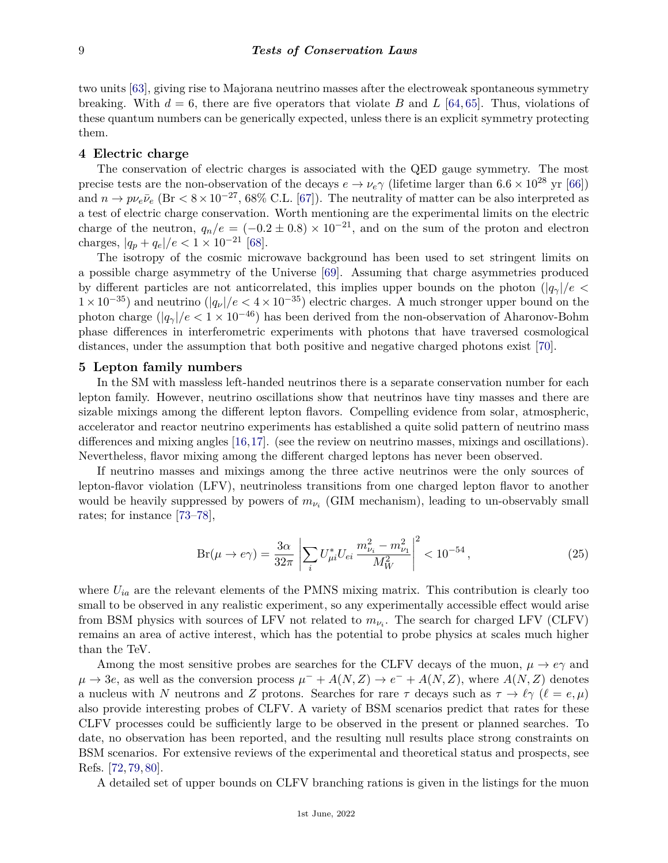two units [\[63\]](#page-17-2), giving rise to Majorana neutrino masses after the electroweak spontaneous symmetry breaking. With  $d = 6$ , there are five operators that violate *B* and *L* [\[64,](#page-17-3) [65\]](#page-17-4). Thus, violations of these quantum numbers can be generically expected, unless there is an explicit symmetry protecting them.

## **4 Electric charge**

The conservation of electric charges is associated with the QED gauge symmetry. The most precise tests are the non-observation of the decays  $e \to \nu_e \gamma$  (lifetime larger than 6.6 × 10<sup>28</sup> yr [\[66\]](#page-17-5)) and  $n \to p \nu_e \bar{\nu}_e$  (Br  $\lt 8 \times 10^{-27}$ , 68% C.L. [\[67\]](#page-17-6)). The neutrality of matter can be also interpreted as a test of electric charge conservation. Worth mentioning are the experimental limits on the electric charge of the neutron,  $q_n/e = (-0.2 \pm 0.8) \times 10^{-21}$ , and on the sum of the proton and electron charges,  $|q_p + q_e|/e < 1 \times 10^{-21}$  [\[68\]](#page-17-7).

The isotropy of the cosmic microwave background has been used to set stringent limits on a possible charge asymmetry of the Universe [\[69\]](#page-17-8). Assuming that charge asymmetries produced by different particles are not anticorrelated, this implies upper bounds on the photon  $(|q_{\gamma}|/e <$  $1 \times 10^{-35}$ ) and neutrino ( $|q_\nu|/e < 4 \times 10^{-35}$ ) electric charges. A much stronger upper bound on the photon charge  $(|q_{\gamma}|/e < 1 \times 10^{-46})$  has been derived from the non-observation of Aharonov-Bohm phase differences in interferometric experiments with photons that have traversed cosmological distances, under the assumption that both positive and negative charged photons exist [\[70\]](#page-17-9).

#### **5 Lepton family numbers**

In the SM with massless left-handed neutrinos there is a separate conservation number for each lepton family. However, neutrino oscillations show that neutrinos have tiny masses and there are sizable mixings among the different lepton flavors. Compelling evidence from solar, atmospheric, accelerator and reactor neutrino experiments has established a quite solid pattern of neutrino mass differences and mixing angles [\[16,](#page-15-14)[17\]](#page-15-15). (see the review on neutrino masses, mixings and oscillations). Nevertheless, flavor mixing among the different charged leptons has never been observed.

If neutrino masses and mixings among the three active neutrinos were the only sources of lepton-flavor violation (LFV), neutrinoless transitions from one charged lepton flavor to another would be heavily suppressed by powers of  $m_{\nu_i}$  (GIM mechanism), leading to un-observably small rates; for instance [\[73](#page-17-10)[–78\]](#page-17-11),

$$
Br(\mu \to e\gamma) = \frac{3\alpha}{32\pi} \left| \sum_{i} U_{\mu i}^{*} U_{ei} \frac{m_{\nu_{i}}^{2} - m_{\nu_{1}}^{2}}{M_{W}^{2}} \right|^{2} < 10^{-54}, \qquad (25)
$$

where  $U_{ia}$  are the relevant elements of the PMNS mixing matrix. This contribution is clearly too small to be observed in any realistic experiment, so any experimentally accessible effect would arise from BSM physics with sources of LFV not related to  $m_{\nu_i}$ . The search for charged LFV (CLFV) remains an area of active interest, which has the potential to probe physics at scales much higher than the TeV.

Among the most sensitive probes are searches for the CLFV decays of the muon,  $\mu \to e\gamma$  and  $\mu \to 3e$ , as well as the conversion process  $\mu^- + A(N, Z) \to e^- + A(N, Z)$ , where  $A(N, Z)$  denotes a nucleus with *N* neutrons and *Z* protons. Searches for rare  $\tau$  decays such as  $\tau \to \ell \gamma$  ( $\ell = e, \mu$ ) also provide interesting probes of CLFV. A variety of BSM scenarios predict that rates for these CLFV processes could be sufficiently large to be observed in the present or planned searches. To date, no observation has been reported, and the resulting null results place strong constraints on BSM scenarios. For extensive reviews of the experimental and theoretical status and prospects, see Refs. [\[72,](#page-17-12) [79,](#page-17-13) [80\]](#page-17-14).

A detailed set of upper bounds on CLFV branching rations is given in the listings for the muon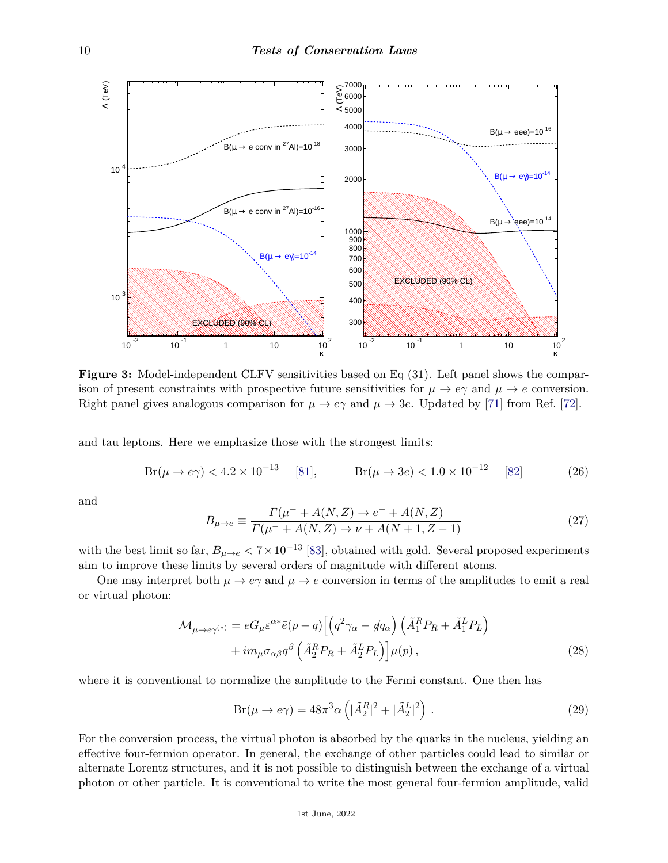

**Figure 3:** Model-independent CLFV sensitivities based on Eq (31). Left panel shows the comparison of present constraints with prospective future sensitivities for  $\mu \to e\gamma$  and  $\mu \to e$  conversion. Right panel gives analogous comparison for  $\mu \to e\gamma$  and  $\mu \to 3e$ . Updated by [\[71\]](#page-17-15) from Ref. [\[72\]](#page-17-12).

and tau leptons. Here we emphasize those with the strongest limits:

$$
Br(\mu \to e\gamma) < 4.2 \times 10^{-13} \quad [81], \qquad Br(\mu \to 3e) < 1.0 \times 10^{-12} \quad [82] \tag{26}
$$

and

$$
B_{\mu \to e} \equiv \frac{\Gamma(\mu^- + A(N, Z) \to e^- + A(N, Z))}{\Gamma(\mu^- + A(N, Z) \to \nu + A(N + 1, Z - 1)}
$$
(27)

with the best limit so far,  $B_{\mu\to e} < 7 \times 10^{-13}$  [\[83\]](#page-17-18), obtained with gold. Several proposed experiments aim to improve these limits by several orders of magnitude with different atoms.

One may interpret both  $\mu \to e\gamma$  and  $\mu \to e$  conversion in terms of the amplitudes to emit a real or virtual photon:

$$
\mathcal{M}_{\mu \to e\gamma^{(*)}} = eG_{\mu} \varepsilon^{\alpha*} \bar{e}(p-q) \left[ \left( q^2 \gamma_\alpha - q q_\alpha \right) \left( \tilde{A}_1^R P_R + \tilde{A}_1^L P_L \right) \right. \\ \left. + i m_\mu \sigma_{\alpha\beta} q^\beta \left( \tilde{A}_2^R P_R + \tilde{A}_2^L P_L \right) \right] \mu(p) \,, \tag{28}
$$

where it is conventional to normalize the amplitude to the Fermi constant. One then has

$$
Br(\mu \to e\gamma) = 48\pi^3 \alpha \left( |\tilde{A}_2^R|^2 + |\tilde{A}_2^L|^2 \right). \tag{29}
$$

For the conversion process, the virtual photon is absorbed by the quarks in the nucleus, yielding an effective four-fermion operator. In general, the exchange of other particles could lead to similar or alternate Lorentz structures, and it is not possible to distinguish between the exchange of a virtual photon or other particle. It is conventional to write the most general four-fermion amplitude, valid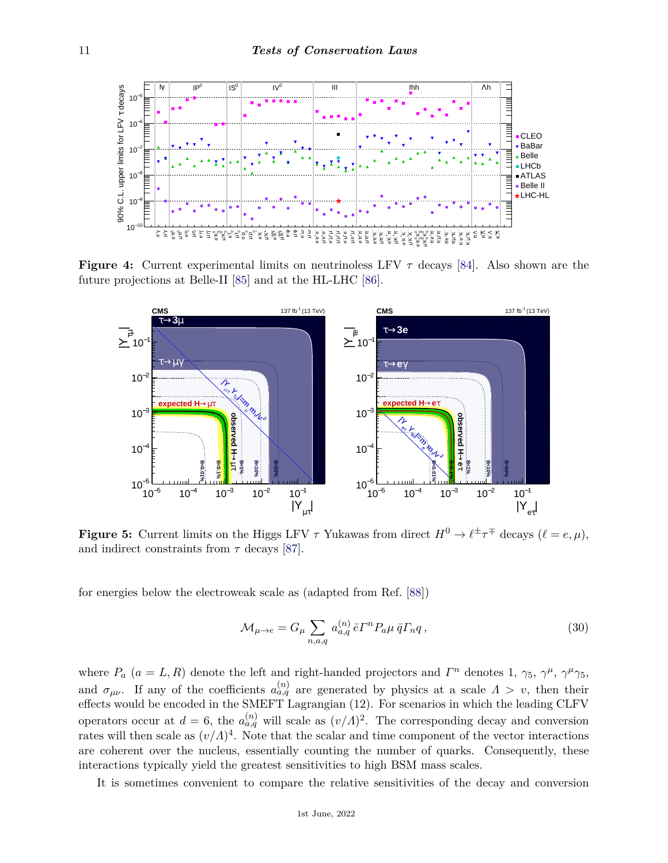

**Figure 4:** Current experimental limits on neutrinoless LFV  $\tau$  decays [\[84\]](#page-17-19). Also shown are the projections at Belle-II  $[85]$  and at the HL-LHC  $[86]$ future projections at Belle-II [\[85\]](#page-17-20) and at the HL-LHC [\[86\]](#page-17-21).



**b** 5: Current limits on the Higgs LFV  $\tau$  Yukawas from direct  $H^0 \to \ell^{\pm} \tau^{\mp}$  decays ( $\ell$  $\frac{1}{2}$   $\frac{1}{2}$  and indirect constraints from *τ* decays [\[87\]](#page-17-22). CDipole ∼ 500 TeV. Besides probing high scales, LFV τ  $d = \frac{d}{dt}$  two main handles to discriminate among underlying  $\mathbf{r}$  is identify which which which which which which which which which which we have  $\mathbf{r}$  which which which we have  $\mathbf{r}$  which which we have  $\mathbf{r$ Figure 5: Current limits on the Higgs LFV  $\tau$  Vulcares from direct  $H^0 \rightarrow l^{\pm} \tau^{\mp}$  decays  $(l = e, u)$ *y*<sup>*x*</sup> *l discretion*  $\frac{1}{2}$  *l y*<sup>*y*</sup> *l c*  $\frac{1}{2}$  *l y*<sup>*y*</sup> *discretion*  $\frac{1}{2}$  *l c*  $\frac{1}{2}$  *l y*<sup>*y*</sup> correspond to left chiral muon or electron and right chiral *τ* lepton, while |*Yτµ* | or |*Yτ*<sup>e</sup> **Figure 5:** Current limits on the Higgs LFV  $\tau$  Yukawas from direct  $H^0 \to \ell^{\pm} \tau^{\mp}$  decays  $(\ell = e, \mu)$ ,

 $\mathcal{L} = \mathcal{L} \mathcal{L} = \mathcal{L} \mathcal{L} = \mathcal{L} \mathcal{L} = \mathcal{L} \mathcal{L} = \mathcal{L} \mathcal{L} = \mathcal{L} \mathcal{L} = \mathcal{L} \mathcal{L} \mathcal{L} = \mathcal{L} \mathcal{L} \mathcal{L} = \mathcal{L} \mathcal{L} \mathcal{L} \mathcal{L} = \mathcal{L} \mathcal{L} \mathcal{L} \mathcal{L} \mathcal{L} = \mathcal{L} \mathcal{L} \mathcal{L} \mathcal{L} \mathcal{L} \mathcal{L} \mathcal{L$ igies below the electroweak scale as  $(aa)$  and  $b$   $b$ .  $[oo]$ expected by the observed  $s$  cole as (adapted from  $Raf$   $[88]$ )  $\mathcal{L}_{\text{max}}$  are approximated by the green and  $\mathcal{L}_{\text{max}}$  values. The green and  $\mathcal{L}_{\text{max}}$ for energies below the electroweak scale as (adapted from Ref. [\[88\]](#page-17-23))

$$
\mathcal{M}_{\mu \to e} = G_{\mu} \sum_{n, a, q} a_{a, q}^{(n)} \bar{e} \Gamma^n P_a \mu \, \bar{q} \Gamma_n q \,, \tag{30}
$$

theoretical naturalness limit |*YijYji*| = *mimj*/*v* [11]. where  $P_a$  ( $a = L, R$ ) denote the left and right-handed projectors and  $\Gamma^n$  denotes 1,  $\gamma_5, \gamma^\mu, \gamma^\mu \gamma_5$ , and  $\sigma_{\mu\nu}$ . If any of the coefficients  $a_{a,q}^{(n)}$  are generated by physics at a scale  $\Lambda > v$ , then their effects would be encoded in the SMEFT Lagrangian (12). For scenarios in which the leading CLFV operators occur at  $d = 6$ , the  $a_{a,q}^{(n)}$  will scale as  $(v/\Lambda)^2$ . The corresponding decay and conversion rates will then scale as  $(v/\Lambda)^4$ . Note that the scalar and time component of the vector interactions are coherent over the nucleus, essentially counting the number of quarks. Consequently, these interactions typically yield the greatest sensitivities to high BSM mass scales.

It is sometimes convenient to compare the relative sensitivities of the decay and conversion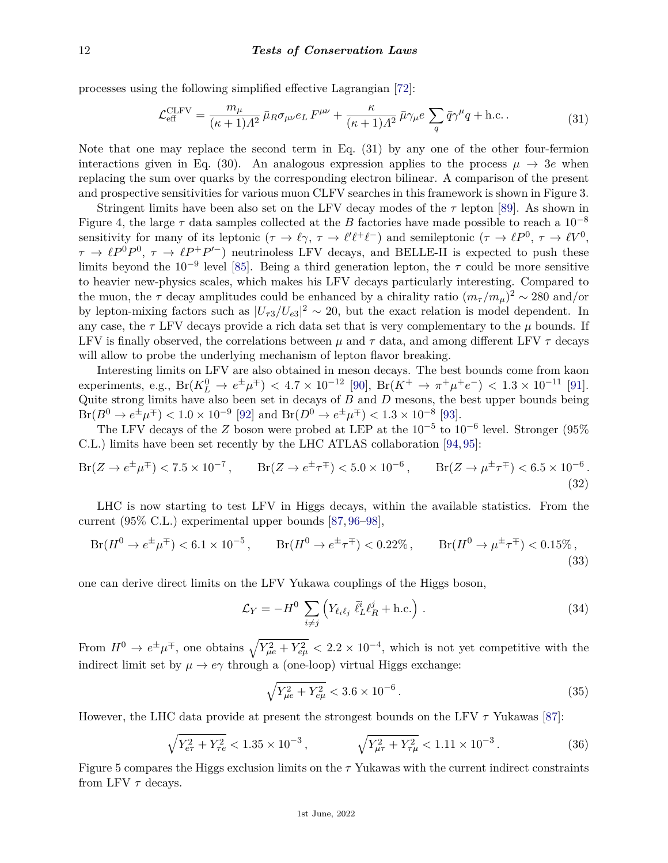processes using the following simplified effective Lagrangian [\[72\]](#page-17-12):

$$
\mathcal{L}_{\text{eff}}^{\text{CLFV}} = \frac{m_{\mu}}{(\kappa + 1)A^2} \bar{\mu}_R \sigma_{\mu\nu} e_L F^{\mu\nu} + \frac{\kappa}{(\kappa + 1)A^2} \bar{\mu} \gamma_{\mu} e \sum_{q} \bar{q} \gamma^{\mu} q + \text{h.c.}.
$$
 (31)

Note that one may replace the second term in Eq. (31) by any one of the other four-fermion interactions given in Eq. (30). An analogous expression applies to the process  $\mu \to 3e$  when replacing the sum over quarks by the corresponding electron bilinear. A comparison of the present and prospective sensitivities for various muon CLFV searches in this framework is shown in Figure 3.

Stringent limits have been also set on the LFV decay modes of the *τ* lepton [\[89\]](#page-17-24). As shown in Figure 4, the large  $\tau$  data samples collected at the *B* factories have made possible to reach a  $10^{-8}$ sensitivity for many of its leptonic  $(\tau \to \ell \gamma, \tau \to \ell' \ell^+ \ell^-)$  and semileptonic  $(\tau \to \ell P^0, \tau \to \ell V^0,$  $\tau \to \ell P^0 P^0$ ,  $\tau \to \ell P^+ P'^-$ ) neutrinoless LFV decays, and BELLE-II is expected to push these limits beyond the 10−<sup>9</sup> level [\[85\]](#page-17-20). Being a third generation lepton, the *τ* could be more sensitive to heavier new-physics scales, which makes his LFV decays particularly interesting. Compared to the muon, the  $\tau$  decay amplitudes could be enhanced by a chirality ratio  $(m_{\tau}/m_{\mu})^2 \sim 280$  and/or by lepton-mixing factors such as  $|U_{\tau 3}/U_{e3}|^2 \sim 20$ , but the exact relation is model dependent. In any case, the  $\tau$  LFV decays provide a rich data set that is very complementary to the  $\mu$  bounds. If LFV is finally observed, the correlations between  $\mu$  and  $\tau$  data, and among different LFV  $\tau$  decays will allow to probe the underlying mechanism of lepton flavor breaking.

Interesting limits on LFV are also obtained in meson decays. The best bounds come from kaon  $\text{experiments, e.g., } \text{Br}(K_L^0 \to e^{\pm} \mu^{\mp}) < 4.7 \times 10^{-12}$  [\[90\]](#page-17-25),  $\text{Br}(K^+ \to \pi^+ \mu^+ e^-) < 1.3 \times 10^{-11}$  [\[91\]](#page-17-26). Quite strong limits have also been set in decays of *B* and *D* mesons, the best upper bounds being  $Br(B^0 \to e^{\pm} \mu^{\mp}) < 1.0 \times 10^{-9}$  [\[92\]](#page-17-27) and  $Br(D^0 \to e^{\pm} \mu^{\mp}) < 1.3 \times 10^{-8}$  [\[93\]](#page-17-28).

The LFV decays of the *Z* boson were probed at LEP at the  $10^{-5}$  to  $10^{-6}$  level. Stronger (95% C.L.) limits have been set recently by the LHC ATLAS collaboration [\[94,](#page-17-29) [95\]](#page-17-30):

$$
Br(Z \to e^{\pm}\mu^{\mp}) < 7.5 \times 10^{-7}, \qquad Br(Z \to e^{\pm}\tau^{\mp}) < 5.0 \times 10^{-6}, \qquad Br(Z \to \mu^{\pm}\tau^{\mp}) < 6.5 \times 10^{-6}.
$$
\n
$$
(32)
$$

LHC is now starting to test LFV in Higgs decays, within the available statistics. From the current (95% C.L.) experimental upper bounds [\[87,](#page-17-22) [96–](#page-17-31)[98\]](#page-17-32),

$$
Br(H^0 \to e^{\pm}\mu^{\mp}) < 6.1 \times 10^{-5}, \qquad Br(H^0 \to e^{\pm}\tau^{\mp}) < 0.22\%, \qquad Br(H^0 \to \mu^{\pm}\tau^{\mp}) < 0.15\%, \tag{33}
$$

one can derive direct limits on the LFV Yukawa couplings of the Higgs boson,

$$
\mathcal{L}_Y = -H^0 \sum_{i \neq j} \left( Y_{\ell_i \ell_j} \, \bar{\ell}_L^i \ell_R^j + \text{h.c.} \right) \,. \tag{34}
$$

From  $H^0 \to e^{\pm} \mu^{\mp}$ , one obtains  $\sqrt{Y_{\mu e}^2 + Y_{e\mu}^2} < 2.2 \times 10^{-4}$ , which is not yet competitive with the indirect limit set by  $\mu \to e\gamma$  through a (one-loop) virtual Higgs exchange:

$$
\sqrt{Y_{\mu e}^2 + Y_{e\mu}^2} < 3.6 \times 10^{-6} \,. \tag{35}
$$

However, the LHC data provide at present the strongest bounds on the LFV *τ* Yukawas [\[87\]](#page-17-22):

$$
\sqrt{Y_{e\tau}^2 + Y_{\tau e}^2} < 1.35 \times 10^{-3} \,, \qquad \qquad \sqrt{Y_{\mu\tau}^2 + Y_{\tau\mu}^2} < 1.11 \times 10^{-3} \,. \tag{36}
$$

Figure 5 compares the Higgs exclusion limits on the *τ* Yukawas with the current indirect constraints from LFV *τ* decays.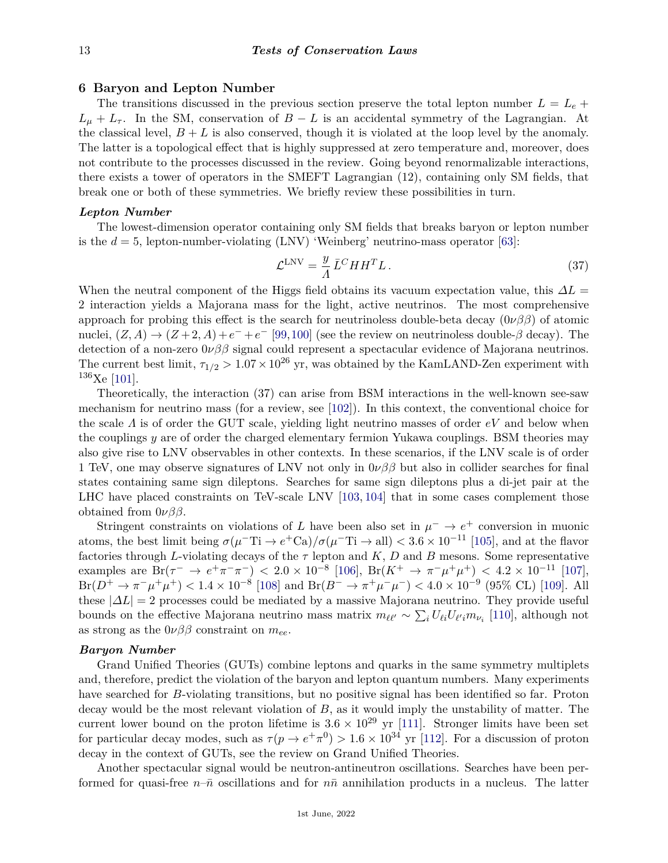## **6 Baryon and Lepton Number**

The transitions discussed in the previous section preserve the total lepton number  $L = L_e +$  $L_{\mu} + L_{\tau}$ . In the SM, conservation of *B* − *L* is an accidental symmetry of the Lagrangian. At the classical level,  $B + L$  is also conserved, though it is violated at the loop level by the anomaly. The latter is a topological effect that is highly suppressed at zero temperature and, moreover, does not contribute to the processes discussed in the review. Going beyond renormalizable interactions, there exists a tower of operators in the SMEFT Lagrangian (12), containing only SM fields, that break one or both of these symmetries. We briefly review these possibilities in turn.

#### *Lepton Number*

The lowest-dimension operator containing only SM fields that breaks baryon or lepton number is the  $d = 5$ , lepton-number-violating (LNV) 'Weinberg' neutrino-mass operator [\[63\]](#page-17-2):

$$
\mathcal{L}^{\text{LNV}} = \frac{y}{A} \bar{L}^C H H^T L \,. \tag{37}
$$

When the neutral component of the Higgs field obtains its vacuum expectation value, this  $\Delta L =$ 2 interaction yields a Majorana mass for the light, active neutrinos. The most comprehensive approach for probing this effect is the search for neutrinoless double-beta decay  $(0\nu\beta\beta)$  of atomic nuclei,  $(Z, A) \rightarrow (Z + 2, A) + e^- + e^-$  [\[99,](#page-18-0)[100\]](#page-18-1) (see the review on neutrinoless double- $\beta$  decay). The detection of a non-zero 0*νββ* signal could represent a spectacular evidence of Majorana neutrinos. The current best limit,  $\tau_{1/2} > 1.07 \times 10^{26}$  yr, was obtained by the KamLAND-Zen experiment with  $136$ Xe [\[101\]](#page-18-2).

Theoretically, the interaction (37) can arise from BSM interactions in the well-known see-saw mechanism for neutrino mass (for a review, see [\[102\]](#page-18-3)). In this context, the conventional choice for the scale *Λ* is of order the GUT scale, yielding light neutrino masses of order *eV* and below when the couplings *y* are of order the charged elementary fermion Yukawa couplings. BSM theories may also give rise to LNV observables in other contexts. In these scenarios, if the LNV scale is of order 1 TeV, one may observe signatures of LNV not only in 0*νββ* but also in collider searches for final states containing same sign dileptons. Searches for same sign dileptons plus a di-jet pair at the LHC have placed constraints on TeV-scale LNV [\[103,](#page-18-4) [104\]](#page-18-5) that in some cases complement those obtained from 0*νββ*.

Stringent constraints on violations of *L* have been also set in  $\mu^- \to e^+$  conversion in muonic atoms, the best limit being  $\sigma(\mu^- \text{Ti} \to e^+ \text{Ca})/\sigma(\mu^- \text{Ti} \to \text{all}) < 3.6 \times 10^{-11}$  [\[105\]](#page-18-6), and at the flavor factories through *L*-violating decays of the  $\tau$  lepton and *K*, *D* and *B* mesons. Some representative examples are  $Br(\tau^- \to e^+ \pi^- \pi^-)$   $< 2.0 \times 10^{-8}$  [\[106\]](#page-18-7),  $Br(K^+ \to \pi^- \mu^+ \mu^+)$   $< 4.2 \times 10^{-11}$  [\[107\]](#page-18-8),  $Br(D^+ \to \pi^- \mu^+ \mu^+) < 1.4 \times 10^{-8}$  [\[108\]](#page-18-9) and  $Br(B^- \to \pi^+ \mu^- \mu^-) < 4.0 \times 10^{-9}$  (95% CL) [\[109\]](#page-18-10). All these  $|\Delta L| = 2$  processes could be mediated by a massive Majorana neutrino. They provide useful bounds on the effective Majorana neutrino mass matrix  $m_{\ell\ell'} \sim \sum_i U_{\ell i} U_{\ell' i} m_{\nu_i}$  [\[110\]](#page-18-11), although not as strong as the  $0\nu\beta\beta$  constraint on  $m_{ee}$ .

#### *Baryon Number*

Grand Unified Theories (GUTs) combine leptons and quarks in the same symmetry multiplets and, therefore, predict the violation of the baryon and lepton quantum numbers. Many experiments have searched for *B*-violating transitions, but no positive signal has been identified so far. Proton decay would be the most relevant violation of *B*, as it would imply the unstability of matter. The current lower bound on the proton lifetime is  $3.6 \times 10^{29}$  yr [\[111\]](#page-18-12). Stronger limits have been set for particular decay modes, such as  $\tau(p \to e^+ \pi^0) > 1.6 \times 10^{34}$  yr [\[112\]](#page-18-13). For a discussion of proton decay in the context of GUTs, see the review on Grand Unified Theories.

Another spectacular signal would be neutron-antineutron oscillations. Searches have been performed for quasi-free  $n-\bar{n}$  oscillations and for  $n\bar{n}$  annihilation products in a nucleus. The latter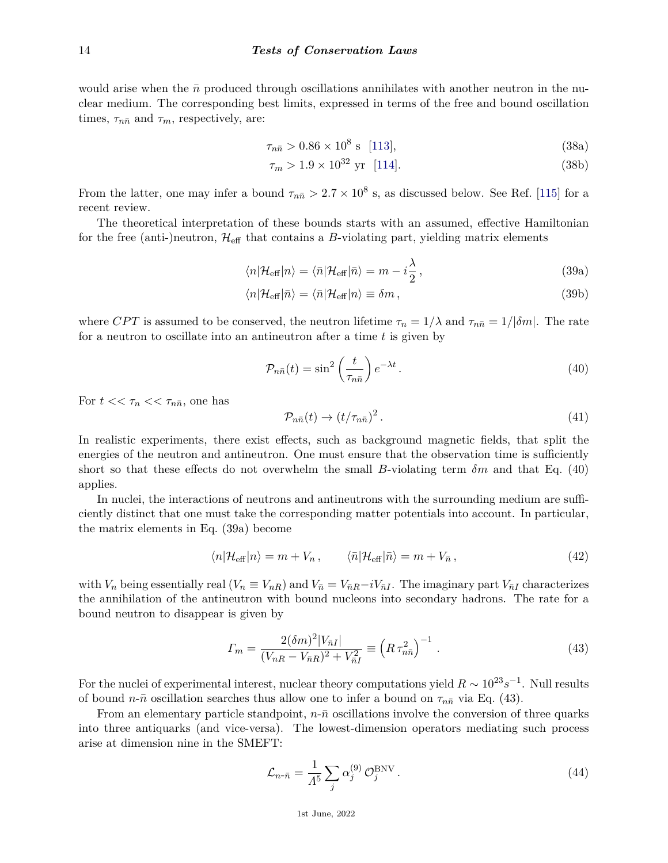would arise when the  $\bar{n}$  produced through oscillations annihilates with another neutron in the nuclear medium. The corresponding best limits, expressed in terms of the free and bound oscillation times,  $\tau_{n\bar{n}}$  and  $\tau_m$ , respectively, are:

$$
\tau_{n\bar{n}} > 0.86 \times 10^8 \text{ s} \quad [113], \tag{38a}
$$

$$
\tau_m > 1.9 \times 10^{32} \text{ yr} \quad [114]. \tag{38b}
$$

From the latter, one may infer a bound  $\tau_{n\bar{n}} > 2.7 \times 10^8$  s, as discussed below. See Ref. [\[115\]](#page-18-16) for a recent review.

The theoretical interpretation of these bounds starts with an assumed, effective Hamiltonian for the free (anti-)neutron,  $\mathcal{H}_{\text{eff}}$  that contains a *B*-violating part, yielding matrix elements

$$
\langle n|\mathcal{H}_{\text{eff}}|n\rangle = \langle \bar{n}|\mathcal{H}_{\text{eff}}|\bar{n}\rangle = m - i\frac{\lambda}{2},\qquad(39a)
$$

$$
\langle n|\mathcal{H}_{\text{eff}}|\bar{n}\rangle = \langle \bar{n}|\mathcal{H}_{\text{eff}}|n\rangle \equiv \delta m\,,\tag{39b}
$$

where *CPT* is assumed to be conserved, the neutron lifetime  $\tau_n = 1/\lambda$  and  $\tau_{n\bar{n}} = 1/|\delta m|$ . The rate for a neutron to oscillate into an antineutron after a time *t* is given by

$$
\mathcal{P}_{n\bar{n}}(t) = \sin^2\left(\frac{t}{\tau_{n\bar{n}}}\right)e^{-\lambda t}.
$$
\n(40)

For  $t \ll \tau_n \ll \tau_{n\bar{n}}$ , one has

$$
\mathcal{P}_{n\bar{n}}(t) \to (t/\tau_{n\bar{n}})^2. \tag{41}
$$

In realistic experiments, there exist effects, such as background magnetic fields, that split the energies of the neutron and antineutron. One must ensure that the observation time is sufficiently short so that these effects do not overwhelm the small *B*-violating term *δm* and that Eq. (40) applies.

In nuclei, the interactions of neutrons and antineutrons with the surrounding medium are sufficiently distinct that one must take the corresponding matter potentials into account. In particular, the matrix elements in Eq. (39a) become

$$
\langle n|\mathcal{H}_{\text{eff}}|n\rangle = m + V_n, \qquad \langle \bar{n}|\mathcal{H}_{\text{eff}}|\bar{n}\rangle = m + V_{\bar{n}}, \qquad (42)
$$

with  $V_n$  being essentially real  $(V_n \equiv V_{nR})$  and  $V_{\bar{n}} = V_{\bar{n}R} - iV_{\bar{n}I}$ . The imaginary part  $V_{\bar{n}I}$  characterizes the annihilation of the antineutron with bound nucleons into secondary hadrons. The rate for a bound neutron to disappear is given by

$$
\Gamma_m = \frac{2(\delta m)^2 |V_{\bar{n}I}|}{(V_{nR} - V_{\bar{n}R})^2 + V_{\bar{n}I}^2} \equiv \left(R \,\tau_{n\bar{n}}^2\right)^{-1} \,. \tag{43}
$$

For the nuclei of experimental interest, nuclear theory computations yield  $R \sim 10^{23} s^{-1}$ . Null results of bound  $n$ - $\bar{n}$  oscillation searches thus allow one to infer a bound on  $\tau_{n\bar{n}}$  via Eq. (43).

From an elementary particle standpoint,  $n\text{-}\bar{n}$  oscillations involve the conversion of three quarks into three antiquarks (and vice-versa). The lowest-dimension operators mediating such process arise at dimension nine in the SMEFT:

$$
\mathcal{L}_{n-\bar{n}} = \frac{1}{\Lambda^5} \sum_{j} \alpha_j^{(9)} \mathcal{O}_j^{\text{BNV}}.
$$
\n(44)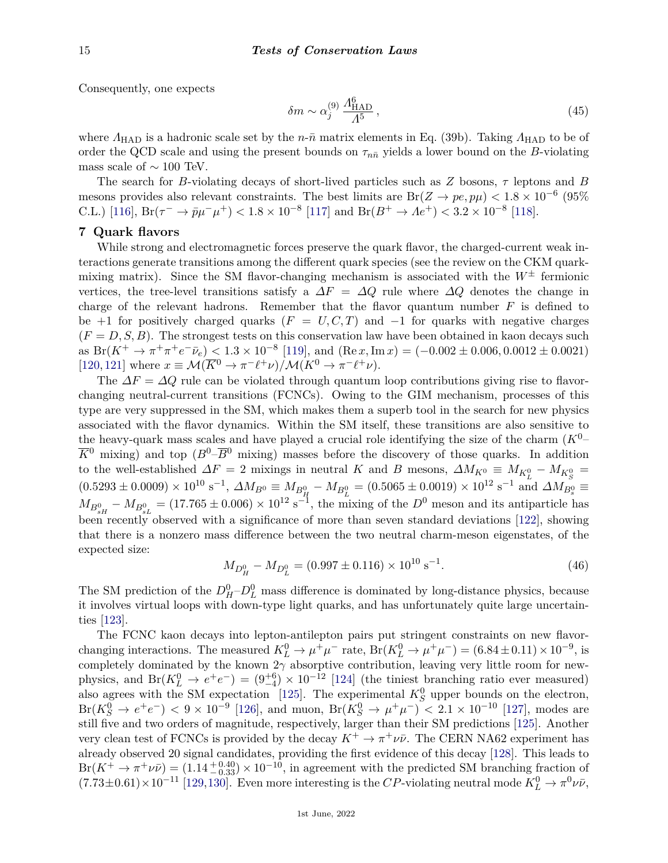Consequently, one expects

$$
\delta m \sim \alpha_j^{(9)} \frac{\Lambda_{\text{HAD}}^6}{\Lambda^5} \,, \tag{45}
$$

where  $Λ_{\text{HAD}}$  is a hadronic scale set by the *n*-*n*̄ matrix elements in Eq. (39b). Taking  $Λ_{\text{HAD}}$  to be of order the QCD scale and using the present bounds on  $\tau_{n\bar{n}}$  yields a lower bound on the *B*-violating mass scale of  $\sim 100$  TeV.

The search for *B*-violating decays of short-lived particles such as *Z* bosons, *τ* leptons and *B* mesons provides also relevant constraints. The best limits are  $Br(Z \to pe, p\mu) < 1.8 \times 10^{-6}$  (95%) C.L.) [\[116\]](#page-18-17),  $Br(\tau^- \to \bar{p}\mu^- \mu^+) < 1.8 \times 10^{-8}$  [\[117\]](#page-18-18) and  $Br(B^+ \to Ae^+) < 3.2 \times 10^{-8}$  [\[118\]](#page-18-19).

## **7 Quark flavors**

While strong and electromagnetic forces preserve the quark flavor, the charged-current weak interactions generate transitions among the different quark species (see the review on the CKM quarkmixing matrix). Since the SM flavor-changing mechanism is associated with the  $W^{\pm}$  fermionic vertices, the tree-level transitions satisfy a  $\Delta F = \Delta Q$  rule where  $\Delta Q$  denotes the change in charge of the relevant hadrons. Remember that the flavor quantum number *F* is defined to be +1 for positively charged quarks  $(F = U, C, T)$  and  $-1$  for quarks with negative charges  $(F = D, S, B)$ . The strongest tests on this conservation law have been obtained in kaon decays such as  $Br(K^+ \to \pi^+ \pi^+ e^- \bar{\nu}_e) < 1.3 \times 10^{-8}$  [\[119\]](#page-18-20), and  $(Re\,x, Im\,x) = (-0.002 \pm 0.006, 0.0012 \pm 0.0021)$  $[120, 121]$  $[120, 121]$  $[120, 121]$  where  $x \equiv \mathcal{M}(\overline{K}^0 \to \pi^- \ell^+ \nu) / \mathcal{M}(K^0 \to \pi^- \ell^+ \nu)$ .

The  $\Delta F = \Delta Q$  rule can be violated through quantum loop contributions giving rise to flavorchanging neutral-current transitions (FCNCs). Owing to the GIM mechanism, processes of this type are very suppressed in the SM, which makes them a superb tool in the search for new physics associated with the flavor dynamics. Within the SM itself, these transitions are also sensitive to the heavy-quark mass scales and have played a crucial role identifying the size of the charm (*K*0–  $\overline{K}^0$  mixing) and top  $(B^0-\overline{B}^0$  mixing) masses before the discovery of those quarks. In addition to the well-established  $\Delta F = 2$  mixings in neutral *K* and *B* mesons,  $\Delta M_{K^0} \equiv M_{K^0_L} - M_{K^0_S} =$  $(0.5293 \pm 0.0009) \times 10^{10} \text{ s}^{-1}, \ \Delta M_{B^0} \equiv M_{B_H^0} - M_{B_L^0} = (0.5065 \pm 0.0019) \times 10^{12} \text{ s}^{-1} \text{ and } \Delta M_{B_s^0} \equiv$  $M_{B_{sH}^0} - M_{B_{sL}^0} = (17.765 \pm 0.006) \times 10^{12} \text{ s}^{-1}$ , the mixing of the *D*<sup>0</sup> meson and its antiparticle has been recently observed with a significance of more than seven standard deviations [\[122\]](#page-18-23), showing that there is a nonzero mass difference between the two neutral charm-meson eigenstates, of the expected size:

$$
M_{D_H^0} - M_{D_L^0} = (0.997 \pm 0.116) \times 10^{10} \text{ s}^{-1}.
$$
\n(46)

The SM prediction of the  $D_H^0$ – $D_L^0$  mass difference is dominated by long-distance physics, because it involves virtual loops with down-type light quarks, and has unfortunately quite large uncertainties [\[123\]](#page-18-24).

The FCNC kaon decays into lepton-antilepton pairs put stringent constraints on new flavorchanging interactions. The measured  $K_L^0 \to \mu^+\mu^-$  rate,  $Br(K_L^0 \to \mu^+\mu^-) = (6.84 \pm 0.11) \times 10^{-9}$ , is completely dominated by the known  $2\gamma$  absorptive contribution, leaving very little room for newphysics, and  $Br(K_L^0 \to e^+e^-) = (9^{+6}_{-4}) \times 10^{-12}$  [\[124\]](#page-18-25) (the tiniest branching ratio ever measured) also agrees with the SM expectation [\[125\]](#page-18-26). The experimental  $K_S^0$  upper bounds on the electron,  $Br(K_S^0 \to e^+e^-)$   $< 9 \times 10^{-9}$  [\[126\]](#page-18-27), and muon,  $Br(K_S^0 \to \mu^+\mu^-)$   $< 2.1 \times 10^{-10}$  [\[127\]](#page-18-28), modes are still five and two orders of magnitude, respectively, larger than their SM predictions [\[125\]](#page-18-26). Another very clean test of FCNCs is provided by the decay  $K^+ \to \pi^+ \nu \bar{\nu}$ . The CERN NA62 experiment has already observed 20 signal candidates, providing the first evidence of this decay [\[128\]](#page-18-29). This leads to  $Br(K^+ \to \pi^+ \nu \bar{\nu}) = (1.14 \frac{+0.40}{-0.33}) \times 10^{-10}$ , in agreement with the predicted SM branching fraction of  $(7.73\pm0.61)\times10^{-11}$  [\[129,](#page-18-30)[130\]](#page-18-31). Even more interesting is the *CP*-violating neutral mode  $K^0_L \to \pi^0 \nu \bar{\nu}$ ,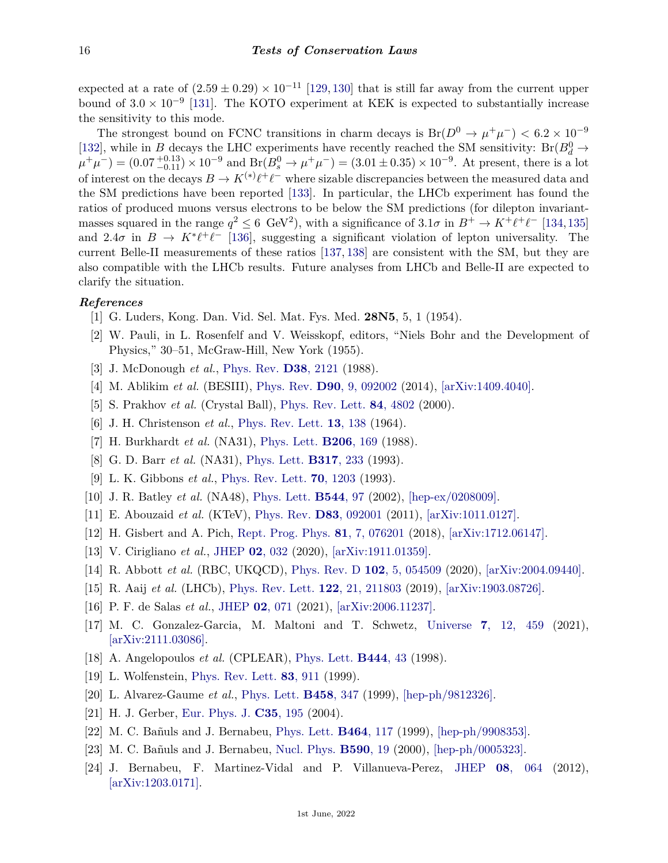expected at a rate of  $(2.59 \pm 0.29) \times 10^{-11}$  [\[129,](#page-18-30) [130\]](#page-18-31) that is still far away from the current upper bound of  $3.0 \times 10^{-9}$  [\[131\]](#page-18-32). The KOTO experiment at KEK is expected to substantially increase the sensitivity to this mode.

The strongest bound on FCNC transitions in charm decays is  $Br(D^0 \to \mu^+\mu^-) < 6.2 \times 10^{-9}$ [\[132\]](#page-18-33), while in *B* decays the LHC experiments have recently reached the SM sensitivity:  $Br(B_d^0 \rightarrow$  $(\mu^+\mu^-) = (0.07_{-0.11}^{+0.13}) \times 10^{-9}$  and  $Br(B_s^0 \to \mu^+\mu^-) = (3.01 \pm 0.35) \times 10^{-9}$ . At present, there is a lot of interest on the decays  $B \to K^{(*)}\ell^+\ell^-$  where sizable discrepancies between the measured data and the SM predictions have been reported [\[133\]](#page-18-34). In particular, the LHCb experiment has found the ratios of produced muons versus electrons to be below the SM predictions (for dilepton invariantmasses squared in the range  $q^2 \leq 6$  GeV<sup>2</sup>), with a significance of  $3.1\sigma$  in  $B^+ \to K^+ \ell^+ \ell^-$  [\[134,](#page-18-35)[135\]](#page-18-36) and 2.4 $\sigma$  in  $B \to K^* \ell^+ \ell^-$  [\[136\]](#page-18-37), suggesting a significant violation of lepton universality. The current Belle-II measurements of these ratios [\[137,](#page-19-0) [138\]](#page-19-1) are consistent with the SM, but they are also compatible with the LHCb results. Future analyses from LHCb and Belle-II are expected to clarify the situation.

### <span id="page-15-0"></span>*References*

- [1] G. Luders, Kong. Dan. Vid. Sel. Mat. Fys. Med. **28N5**, 5, 1 (1954).
- <span id="page-15-1"></span>[2] W. Pauli, in L. Rosenfelf and V. Weisskopf, editors, "Niels Bohr and the Development of Physics," 30–51, McGraw-Hill, New York (1955).
- <span id="page-15-3"></span><span id="page-15-2"></span>[3] J. McDonough *et al.*, [Phys. Rev.](http://doi.org/10.1103/PhysRevD.38.2121) **D38**[, 2121](http://doi.org/10.1103/PhysRevD.38.2121) (1988).
- [4] M. Ablikim *et al.* (BESIII), [Phys. Rev.](http://doi.org/10.1103/PhysRevD.90.092002) **D90**[, 9, 092002](http://doi.org/10.1103/PhysRevD.90.092002) (2014), [\[arXiv:1409.4040\].](https://arxiv.org/abs/1409.4040)
- <span id="page-15-4"></span>[5] S. Prakhov *et al.* (Crystal Ball), [Phys. Rev. Lett.](http://doi.org/10.1103/PhysRevLett.84.4802) **84**[, 4802](http://doi.org/10.1103/PhysRevLett.84.4802) (2000).
- <span id="page-15-5"></span>[6] J. H. Christenson *et al.*, [Phys. Rev. Lett.](http://doi.org/10.1103/PhysRevLett.13.138) **13**[, 138](http://doi.org/10.1103/PhysRevLett.13.138) (1964).
- <span id="page-15-6"></span>[7] H. Burkhardt *et al.* (NA31), [Phys. Lett.](http://doi.org/10.1016/0370-2693(88)91282-8) **[B206](http://doi.org/10.1016/0370-2693(88)91282-8)**, 169 (1988).
- <span id="page-15-7"></span>[8] G. D. Barr *et al.* (NA31), [Phys. Lett.](http://doi.org/10.1016/0370-2693(93)91599-I) **[B317](http://doi.org/10.1016/0370-2693(93)91599-I)**, 233 (1993).
- <span id="page-15-8"></span>[9] L. K. Gibbons *et al.*, [Phys. Rev. Lett.](http://doi.org/10.1103/PhysRevLett.70.1203) **70**[, 1203](http://doi.org/10.1103/PhysRevLett.70.1203) (1993).
- <span id="page-15-9"></span>[10] J. R. Batley *et al.* (NA48), [Phys. Lett.](http://doi.org/10.1016/S0370-2693(02)02476-0) **[B544](http://doi.org/10.1016/S0370-2693(02)02476-0)**, 97 (2002), [\[hep-ex/0208009\].](https://arxiv.org/abs/hep-ex/0208009)
- <span id="page-15-10"></span>[11] E. Abouzaid *et al.* (KTeV), [Phys. Rev.](http://doi.org/10.1103/PhysRevD.83.092001) **D83**[, 092001](http://doi.org/10.1103/PhysRevD.83.092001) (2011), [\[arXiv:1011.0127\].](https://arxiv.org/abs/1011.0127)
- <span id="page-15-11"></span>[12] H. Gisbert and A. Pich, [Rept. Prog. Phys.](http://doi.org/10.1088/1361-6633/aac18e) **81**[, 7, 076201](http://doi.org/10.1088/1361-6633/aac18e) (2018), [\[arXiv:1712.06147\].](https://arxiv.org/abs/1712.06147)
- [13] V. Cirigliano *et al.*, [JHEP](http://doi.org/10.1007/JHEP02(2020)032) **02**[, 032](http://doi.org/10.1007/JHEP02(2020)032) (2020), [\[arXiv:1911.01359\].](https://arxiv.org/abs/1911.01359)
- <span id="page-15-12"></span>[14] R. Abbott *et al.* (RBC, UKQCD), [Phys. Rev. D](http://doi.org/10.1103/PhysRevD.102.054509) **102**[, 5, 054509](http://doi.org/10.1103/PhysRevD.102.054509) (2020), [\[arXiv:2004.09440\].](https://arxiv.org/abs/2004.09440)
- <span id="page-15-13"></span>[15] R. Aaij *et al.* (LHCb), [Phys. Rev. Lett.](http://doi.org/10.1103/PhysRevLett.122.211803) **122**[, 21, 211803](http://doi.org/10.1103/PhysRevLett.122.211803) (2019), [\[arXiv:1903.08726\].](https://arxiv.org/abs/1903.08726)
- <span id="page-15-14"></span>[16] P. F. de Salas *et al.*, [JHEP](http://doi.org/10.1007/JHEP02(2021)071) **02**[, 071](http://doi.org/10.1007/JHEP02(2021)071) (2021), [\[arXiv:2006.11237\].](https://arxiv.org/abs/2006.11237)
- <span id="page-15-15"></span>[17] M. C. Gonzalez-Garcia, M. Maltoni and T. Schwetz, [Universe](http://doi.org/10.3390/universe7120459) **7**[, 12, 459](http://doi.org/10.3390/universe7120459) (2021), [\[arXiv:2111.03086\].](https://arxiv.org/abs/2111.03086)
- <span id="page-15-16"></span>[18] A. Angelopoulos *et al.* (CPLEAR), [Phys. Lett.](http://doi.org/10.1016/S0370-2693(98)01356-2) **[B444](http://doi.org/10.1016/S0370-2693(98)01356-2)**, 43 (1998).
- <span id="page-15-17"></span>[19] L. Wolfenstein, [Phys. Rev. Lett.](http://doi.org/10.1103/PhysRevLett.83.911) **83**[, 911](http://doi.org/10.1103/PhysRevLett.83.911) (1999).
- <span id="page-15-18"></span>[20] L. Alvarez-Gaume *et al.*, [Phys. Lett.](http://doi.org/10.1016/S0370-2693(99)00520-1) **[B458](http://doi.org/10.1016/S0370-2693(99)00520-1)**, 347 (1999), [\[hep-ph/9812326\].](https://arxiv.org/abs/hep-ph/9812326)
- [21] H. J. Gerber, [Eur. Phys. J.](http://doi.org/10.1140/epjc/s2004-01813-6) **C35**[, 195](http://doi.org/10.1140/epjc/s2004-01813-6) (2004).
- <span id="page-15-19"></span>[22] M. C. Bañuls and J. Bernabeu, [Phys. Lett.](http://doi.org/10.1016/S0370-2693(99)01043-6) **[B464](http://doi.org/10.1016/S0370-2693(99)01043-6)**, 117 (1999), [\[hep-ph/9908353\].](https://arxiv.org/abs/hep-ph/9908353)
- [23] M. C. Bañuls and J. Bernabeu, [Nucl. Phys.](http://doi.org/10.1016/S0550-3213(00)00548-4) **[B590](http://doi.org/10.1016/S0550-3213(00)00548-4)**, 19 (2000), [\[hep-ph/0005323\].](https://arxiv.org/abs/hep-ph/0005323)
- <span id="page-15-20"></span>[24] J. Bernabeu, F. Martinez-Vidal and P. Villanueva-Perez, [JHEP](http://doi.org/10.1007/JHEP08(2012)064) **08**[, 064](http://doi.org/10.1007/JHEP08(2012)064) (2012), [\[arXiv:1203.0171\].](https://arxiv.org/abs/1203.0171)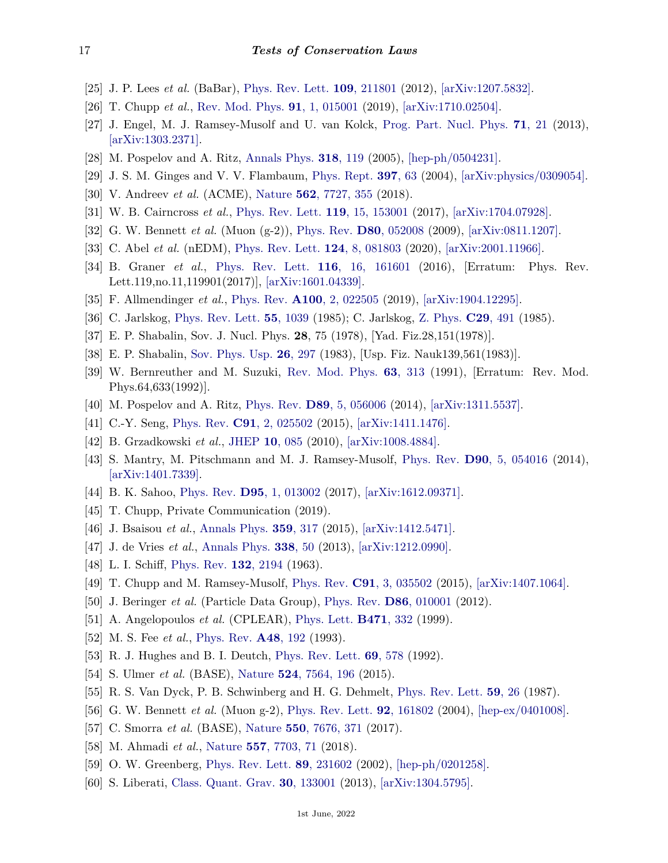- <span id="page-16-0"></span>[25] J. P. Lees *et al.* (BaBar), [Phys. Rev. Lett.](http://doi.org/10.1103/PhysRevLett.109.211801) **109**[, 211801](http://doi.org/10.1103/PhysRevLett.109.211801) (2012), [\[arXiv:1207.5832\].](https://arxiv.org/abs/1207.5832)
- <span id="page-16-1"></span>[26] T. Chupp *et al.*, [Rev. Mod. Phys.](http://doi.org/10.1103/RevModPhys.91.015001) **91**[, 1, 015001](http://doi.org/10.1103/RevModPhys.91.015001) (2019), [\[arXiv:1710.02504\].](https://arxiv.org/abs/1710.02504)
- <span id="page-16-13"></span>[27] J. Engel, M. J. Ramsey-Musolf and U. van Kolck, [Prog. Part. Nucl. Phys.](http://doi.org/10.1016/j.ppnp.2013.03.003) **71**[, 21](http://doi.org/10.1016/j.ppnp.2013.03.003) (2013), [\[arXiv:1303.2371\].](https://arxiv.org/abs/1303.2371)
- <span id="page-16-17"></span>[28] M. Pospelov and A. Ritz, [Annals Phys.](http://doi.org/10.1016/j.aop.2005.04.002) **318**[, 119](http://doi.org/10.1016/j.aop.2005.04.002) (2005), [\[hep-ph/0504231\].](https://arxiv.org/abs/hep-ph/0504231)
- <span id="page-16-2"></span>[29] J. S. M. Ginges and V. V. Flambaum, [Phys. Rept.](http://doi.org/10.1016/j.physrep.2004.03.005) **[397](http://doi.org/10.1016/j.physrep.2004.03.005)**, 63 (2004), [\[arXiv:physics/0309054\].](https://arxiv.org/abs/physics/0309054)
- <span id="page-16-3"></span>[30] V. Andreev *et al.* (ACME), [Nature](http://doi.org/10.1038/s41586-018-0599-8) **562**[, 7727, 355](http://doi.org/10.1038/s41586-018-0599-8) (2018).
- <span id="page-16-4"></span>[31] W. B. Cairncross *et al.*, [Phys. Rev. Lett.](http://doi.org/10.1103/PhysRevLett.119.153001) **119**[, 15, 153001](http://doi.org/10.1103/PhysRevLett.119.153001) (2017), [\[arXiv:1704.07928\].](https://arxiv.org/abs/1704.07928)
- <span id="page-16-5"></span>[32] G. W. Bennett *et al.* (Muon (g-2)), [Phys. Rev.](http://doi.org/10.1103/PhysRevD.80.052008) **D80**[, 052008](http://doi.org/10.1103/PhysRevD.80.052008) (2009), [\[arXiv:0811.1207\].](https://arxiv.org/abs/0811.1207)
- <span id="page-16-6"></span>[33] C. Abel *et al.* (nEDM), [Phys. Rev. Lett.](http://doi.org/10.1103/PhysRevLett.124.081803) **124**[, 8, 081803](http://doi.org/10.1103/PhysRevLett.124.081803) (2020), [\[arXiv:2001.11966\].](https://arxiv.org/abs/2001.11966)
- <span id="page-16-7"></span>[34] B. Graner *et al.*, [Phys. Rev. Lett.](http://doi.org/10.1103/PhysRevLett.119.119901) **116**[, 16, 161601](http://doi.org/10.1103/PhysRevLett.119.119901) (2016), [Erratum: Phys. Rev. Lett.119,no.11,119901(2017)], [\[arXiv:1601.04339\].](https://arxiv.org/abs/1601.04339)
- <span id="page-16-8"></span>[35] F. Allmendinger *et al.*, [Phys. Rev.](http://doi.org/10.1103/PhysRevA.100.022505) **A100**[, 2, 022505](http://doi.org/10.1103/PhysRevA.100.022505) (2019), [\[arXiv:1904.12295\].](https://arxiv.org/abs/1904.12295)
- <span id="page-16-9"></span>[36] C. Jarlskog, [Phys. Rev. Lett.](http://doi.org/10.1103/PhysRevLett.55.1039) **55**[, 1039](http://doi.org/10.1103/PhysRevLett.55.1039) (1985); C. Jarlskog, [Z. Phys.](http://doi.org/10.1007/BF01565198) **C29**[, 491](http://doi.org/10.1007/BF01565198) (1985).
- <span id="page-16-10"></span>[37] E. P. Shabalin, Sov. J. Nucl. Phys. **28**, 75 (1978), [Yad. Fiz.28,151(1978)].
- [38] E. P. Shabalin, [Sov. Phys. Usp.](http://doi.org/10.1070/PU1983v026n04ABEH004331) **26**[, 297](http://doi.org/10.1070/PU1983v026n04ABEH004331) (1983), [Usp. Fiz. Nauk139,561(1983)].
- [39] W. Bernreuther and M. Suzuki, [Rev. Mod. Phys.](http://doi.org/10.1103/RevModPhys.63.313) **63**[, 313](http://doi.org/10.1103/RevModPhys.63.313) (1991), [Erratum: Rev. Mod. Phys.64,633(1992)].
- <span id="page-16-11"></span>[40] M. Pospelov and A. Ritz, [Phys. Rev.](http://doi.org/10.1103/PhysRevD.89.056006) **D89**[, 5, 056006](http://doi.org/10.1103/PhysRevD.89.056006) (2014), [\[arXiv:1311.5537\].](https://arxiv.org/abs/1311.5537)
- <span id="page-16-12"></span>[41] C.-Y. Seng, [Phys. Rev.](http://doi.org/10.1103/PhysRevC.91.025502) **C91**[, 2, 025502](http://doi.org/10.1103/PhysRevC.91.025502) (2015), [\[arXiv:1411.1476\].](https://arxiv.org/abs/1411.1476)
- <span id="page-16-14"></span>[42] B. Grzadkowski *et al.*, [JHEP](http://doi.org/10.1007/JHEP10(2010)085) **10**[, 085](http://doi.org/10.1007/JHEP10(2010)085) (2010), [\[arXiv:1008.4884\].](https://arxiv.org/abs/1008.4884)
- <span id="page-16-15"></span>[43] S. Mantry, M. Pitschmann and M. J. Ramsey-Musolf, [Phys. Rev.](http://doi.org/10.1103/PhysRevD.90.054016) **D90**[, 5, 054016](http://doi.org/10.1103/PhysRevD.90.054016) (2014), [\[arXiv:1401.7339\].](https://arxiv.org/abs/1401.7339)
- <span id="page-16-16"></span>[44] B. K. Sahoo, [Phys. Rev.](http://doi.org/10.1103/PhysRevD.95.013002) **D95**[, 1, 013002](http://doi.org/10.1103/PhysRevD.95.013002) (2017), [\[arXiv:1612.09371\].](https://arxiv.org/abs/1612.09371)
- <span id="page-16-21"></span>[45] T. Chupp, Private Communication (2019).
- <span id="page-16-18"></span>[46] J. Bsaisou *et al.*, [Annals Phys.](http://doi.org/10.1016/j.aop.2015.04.031) **359**[, 317](http://doi.org/10.1016/j.aop.2015.04.031) (2015), [\[arXiv:1412.5471\].](https://arxiv.org/abs/1412.5471)
- <span id="page-16-19"></span>[47] J. de Vries *et al.*, [Annals Phys.](http://doi.org/10.1016/j.aop.2013.05.022) **[338](http://doi.org/10.1016/j.aop.2013.05.022)**, 50 (2013), [\[arXiv:1212.0990\].](https://arxiv.org/abs/1212.0990)
- <span id="page-16-20"></span>[48] L. I. Schiff, [Phys. Rev.](http://doi.org/10.1103/PhysRev.132.2194) **132**[, 2194](http://doi.org/10.1103/PhysRev.132.2194) (1963).
- <span id="page-16-22"></span>[49] T. Chupp and M. Ramsey-Musolf, [Phys. Rev.](http://doi.org/10.1103/PhysRevC.91.035502) **C91**[, 3, 035502](http://doi.org/10.1103/PhysRevC.91.035502) (2015), [\[arXiv:1407.1064\].](https://arxiv.org/abs/1407.1064)
- <span id="page-16-23"></span>[50] J. Beringer *et al.* (Particle Data Group), [Phys. Rev.](http://doi.org/10.1103/PhysRevD.86.010001) **D86**[, 010001](http://doi.org/10.1103/PhysRevD.86.010001) (2012).
- <span id="page-16-24"></span>[51] A. Angelopoulos *et al.* (CPLEAR), [Phys. Lett.](http://doi.org/10.1016/S0370-2693(99)01333-7) **[B471](http://doi.org/10.1016/S0370-2693(99)01333-7)**, 332 (1999).
- <span id="page-16-25"></span>[52] M. S. Fee *et al.*, [Phys. Rev.](http://doi.org/10.1103/PhysRevA.48.192) **A48**[, 192](http://doi.org/10.1103/PhysRevA.48.192) (1993).
- [53] R. J. Hughes and B. I. Deutch, [Phys. Rev. Lett.](http://doi.org/10.1103/PhysRevLett.69.578) **69**[, 578](http://doi.org/10.1103/PhysRevLett.69.578) (1992).
- <span id="page-16-26"></span>[54] S. Ulmer *et al.* (BASE), [Nature](http://doi.org/10.1038/nature14861) **524**[, 7564, 196](http://doi.org/10.1038/nature14861) (2015).
- <span id="page-16-27"></span>[55] R. S. Van Dyck, P. B. Schwinberg and H. G. Dehmelt, [Phys. Rev. Lett.](http://doi.org/10.1103/PhysRevLett.59.26) **59**[, 26](http://doi.org/10.1103/PhysRevLett.59.26) (1987).
- <span id="page-16-28"></span>[56] G. W. Bennett *et al.* (Muon g-2), [Phys. Rev. Lett.](http://doi.org/10.1103/PhysRevLett.92.161802) **92**[, 161802](http://doi.org/10.1103/PhysRevLett.92.161802) (2004), [\[hep-ex/0401008\].](https://arxiv.org/abs/hep-ex/0401008)
- <span id="page-16-29"></span>[57] C. Smorra *et al.* (BASE), [Nature](http://doi.org/10.1038/nature24048) **550**[, 7676, 371](http://doi.org/10.1038/nature24048) (2017).
- <span id="page-16-30"></span>[58] M. Ahmadi *et al.*, [Nature](http://doi.org/10.1038/s41586-018-0017-2) **557**[, 7703, 71](http://doi.org/10.1038/s41586-018-0017-2) (2018).
- <span id="page-16-31"></span>[59] O. W. Greenberg, [Phys. Rev. Lett.](http://doi.org/10.1103/PhysRevLett.89.231602) **89**[, 231602](http://doi.org/10.1103/PhysRevLett.89.231602) (2002), [\[hep-ph/0201258\].](https://arxiv.org/abs/hep-ph/0201258)
- <span id="page-16-32"></span>[60] S. Liberati, [Class. Quant. Grav.](http://doi.org/10.1088/0264-9381/30/13/133001) **30**[, 133001](http://doi.org/10.1088/0264-9381/30/13/133001) (2013), [\[arXiv:1304.5795\].](https://arxiv.org/abs/1304.5795)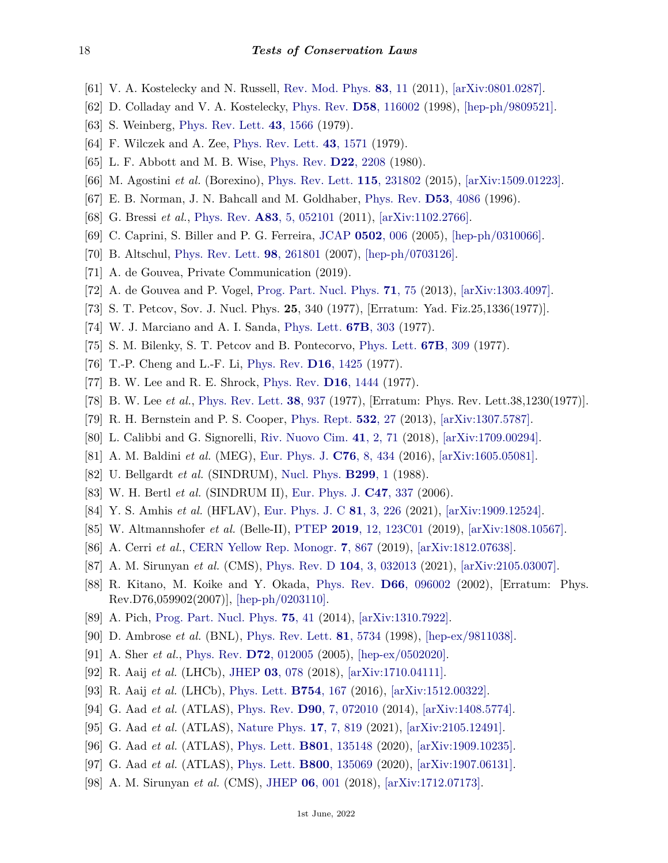- <span id="page-17-0"></span>[61] V. A. Kostelecky and N. Russell, [Rev. Mod. Phys.](http://doi.org/10.1103/RevModPhys.83.11) **83**[, 11](http://doi.org/10.1103/RevModPhys.83.11) (2011), [\[arXiv:0801.0287\].](https://arxiv.org/abs/0801.0287)
- <span id="page-17-1"></span>[62] D. Colladay and V. A. Kostelecky, [Phys. Rev.](http://doi.org/10.1103/PhysRevD.58.116002) **D58**[, 116002](http://doi.org/10.1103/PhysRevD.58.116002) (1998), [\[hep-ph/9809521\].](https://arxiv.org/abs/hep-ph/9809521)
- <span id="page-17-2"></span>[63] S. Weinberg, [Phys. Rev. Lett.](http://doi.org/10.1103/PhysRevLett.43.1566) **43**[, 1566](http://doi.org/10.1103/PhysRevLett.43.1566) (1979).
- <span id="page-17-3"></span>[64] F. Wilczek and A. Zee, [Phys. Rev. Lett.](http://doi.org/10.1103/PhysRevLett.43.1571) **43**[, 1571](http://doi.org/10.1103/PhysRevLett.43.1571) (1979).
- <span id="page-17-4"></span>[65] L. F. Abbott and M. B. Wise, [Phys. Rev.](http://doi.org/10.1103/PhysRevD.22.2208) **D22**[, 2208](http://doi.org/10.1103/PhysRevD.22.2208) (1980).
- <span id="page-17-5"></span>[66] M. Agostini *et al.* (Borexino), [Phys. Rev. Lett.](http://doi.org/10.1103/PhysRevLett.115.231802) **115**[, 231802](http://doi.org/10.1103/PhysRevLett.115.231802) (2015), [\[arXiv:1509.01223\].](https://arxiv.org/abs/1509.01223)
- <span id="page-17-6"></span>[67] E. B. Norman, J. N. Bahcall and M. Goldhaber, [Phys. Rev.](http://doi.org/10.1103/PhysRevD.53.4086) **D53**[, 4086](http://doi.org/10.1103/PhysRevD.53.4086) (1996).
- <span id="page-17-7"></span>[68] G. Bressi *et al.*, [Phys. Rev.](http://doi.org/10.1103/PhysRevA.83.052101) **A83**[, 5, 052101](http://doi.org/10.1103/PhysRevA.83.052101) (2011), [\[arXiv:1102.2766\].](https://arxiv.org/abs/1102.2766)
- <span id="page-17-8"></span>[69] C. Caprini, S. Biller and P. G. Ferreira, [JCAP](http://doi.org/10.1088/1475-7516/2005/02/006) **[0502](http://doi.org/10.1088/1475-7516/2005/02/006)**, 006 (2005), [\[hep-ph/0310066\].](https://arxiv.org/abs/hep-ph/0310066)
- <span id="page-17-9"></span>[70] B. Altschul, [Phys. Rev. Lett.](http://doi.org/10.1103/PhysRevLett.98.261801) **98**[, 261801](http://doi.org/10.1103/PhysRevLett.98.261801) (2007), [\[hep-ph/0703126\].](https://arxiv.org/abs/hep-ph/0703126)
- <span id="page-17-15"></span>[71] A. de Gouvea, Private Communication (2019).
- <span id="page-17-12"></span>[72] A. de Gouvea and P. Vogel, [Prog. Part. Nucl. Phys.](http://doi.org/10.1016/j.ppnp.2013.03.006) **71**[, 75](http://doi.org/10.1016/j.ppnp.2013.03.006) (2013), [\[arXiv:1303.4097\].](https://arxiv.org/abs/1303.4097)
- <span id="page-17-10"></span>[73] S. T. Petcov, Sov. J. Nucl. Phys. **25**, 340 (1977), [Erratum: Yad. Fiz.25,1336(1977)].
- [74] W. J. Marciano and A. I. Sanda, [Phys. Lett.](http://doi.org/10.1016/0370-2693(77)90377-X) **67B**[, 303](http://doi.org/10.1016/0370-2693(77)90377-X) (1977).
- [75] S. M. Bilenky, S. T. Petcov and B. Pontecorvo, [Phys. Lett.](http://doi.org/10.1016/0370-2693(77)90379-3) **67B**[, 309](http://doi.org/10.1016/0370-2693(77)90379-3) (1977).
- [76] T.-P. Cheng and L.-F. Li, [Phys. Rev.](http://doi.org/10.1103/PhysRevD.16.1425) **D16**[, 1425](http://doi.org/10.1103/PhysRevD.16.1425) (1977).
- [77] B. W. Lee and R. E. Shrock, [Phys. Rev.](http://doi.org/10.1103/PhysRevD.16.1444) **D16**[, 1444](http://doi.org/10.1103/PhysRevD.16.1444) (1977).
- <span id="page-17-11"></span>[78] B. W. Lee *et al.*, [Phys. Rev. Lett.](http://doi.org/10.1103/PhysRevLett.38.937) **38**[, 937](http://doi.org/10.1103/PhysRevLett.38.937) (1977), [Erratum: Phys. Rev. Lett.38,1230(1977)].
- <span id="page-17-13"></span>[79] R. H. Bernstein and P. S. Cooper, [Phys. Rept.](http://doi.org/10.1016/j.physrep.2013.07.002) **[532](http://doi.org/10.1016/j.physrep.2013.07.002)**, 27 (2013), [\[arXiv:1307.5787\].](https://arxiv.org/abs/1307.5787)
- <span id="page-17-14"></span>[80] L. Calibbi and G. Signorelli, [Riv. Nuovo Cim.](http://doi.org/10.1393/ncr/i2018-10144-0) **41**[, 2, 71](http://doi.org/10.1393/ncr/i2018-10144-0) (2018), [\[arXiv:1709.00294\].](https://arxiv.org/abs/1709.00294)
- <span id="page-17-16"></span>[81] A. M. Baldini *et al.* (MEG), [Eur. Phys. J.](http://doi.org/10.1140/epjc/s10052-016-4271-x) **C76**[, 8, 434](http://doi.org/10.1140/epjc/s10052-016-4271-x) (2016), [\[arXiv:1605.05081\].](https://arxiv.org/abs/1605.05081)
- <span id="page-17-17"></span>[82] U. Bellgardt *et al.* (SINDRUM), [Nucl. Phys.](http://doi.org/10.1016/0550-3213(88)90462-2) **[B299](http://doi.org/10.1016/0550-3213(88)90462-2)**, 1 (1988).
- <span id="page-17-18"></span>[83] W. H. Bertl *et al.* (SINDRUM II), [Eur. Phys. J.](http://doi.org/10.1140/epjc/s2006-02582-x) **C47**[, 337](http://doi.org/10.1140/epjc/s2006-02582-x) (2006).
- <span id="page-17-19"></span>[84] Y. S. Amhis *et al.* (HFLAV), [Eur. Phys. J. C](http://doi.org/10.1140/epjc/s10052-020-8156-7) **81**[, 3, 226](http://doi.org/10.1140/epjc/s10052-020-8156-7) (2021), [\[arXiv:1909.12524\].](https://arxiv.org/abs/1909.12524)
- <span id="page-17-20"></span>[85] W. Altmannshofer *et al.* (Belle-II), [PTEP](http://doi.org/10.1093/ptep/ptz106) **2019**[, 12, 123C01](http://doi.org/10.1093/ptep/ptz106) (2019), [\[arXiv:1808.10567\].](https://arxiv.org/abs/1808.10567)
- <span id="page-17-21"></span>[86] A. Cerri *et al.*, [CERN Yellow Rep. Monogr.](http://doi.org/10.23731/CYRM-2019-007.867) **7**[, 867](http://doi.org/10.23731/CYRM-2019-007.867) (2019), [\[arXiv:1812.07638\].](https://arxiv.org/abs/1812.07638)
- <span id="page-17-22"></span>[87] A. M. Sirunyan *et al.* (CMS), [Phys. Rev. D](http://doi.org/10.1103/PhysRevD.104.032013) **104**[, 3, 032013](http://doi.org/10.1103/PhysRevD.104.032013) (2021), [\[arXiv:2105.03007\].](https://arxiv.org/abs/2105.03007)
- <span id="page-17-23"></span>[88] R. Kitano, M. Koike and Y. Okada, [Phys. Rev.](http://doi.org/10.1103/PhysRevD.76.059902) **D66**[, 096002](http://doi.org/10.1103/PhysRevD.76.059902) (2002), [Erratum: Phys. Rev.D76,059902(2007)], [\[hep-ph/0203110\].](https://arxiv.org/abs/hep-ph/0203110)
- <span id="page-17-24"></span>[89] A. Pich, [Prog. Part. Nucl. Phys.](http://doi.org/10.1016/j.ppnp.2013.11.002) **75**[, 41](http://doi.org/10.1016/j.ppnp.2013.11.002) (2014), [\[arXiv:1310.7922\].](https://arxiv.org/abs/1310.7922)
- <span id="page-17-25"></span>[90] D. Ambrose *et al.* (BNL), [Phys. Rev. Lett.](http://doi.org/10.1103/PhysRevLett.81.5734) **81**[, 5734](http://doi.org/10.1103/PhysRevLett.81.5734) (1998), [\[hep-ex/9811038\].](https://arxiv.org/abs/hep-ex/9811038)
- <span id="page-17-26"></span>[91] A. Sher *et al.*, [Phys. Rev.](http://doi.org/10.1103/PhysRevD.72.012005) **D72**[, 012005](http://doi.org/10.1103/PhysRevD.72.012005) (2005), [\[hep-ex/0502020\].](https://arxiv.org/abs/hep-ex/0502020)
- <span id="page-17-27"></span>[92] R. Aaij *et al.* (LHCb), [JHEP](http://doi.org/10.1007/JHEP03(2018)078) **03**[, 078](http://doi.org/10.1007/JHEP03(2018)078) (2018), [\[arXiv:1710.04111\].](https://arxiv.org/abs/1710.04111)
- <span id="page-17-28"></span>[93] R. Aaij *et al.* (LHCb), [Phys. Lett.](http://doi.org/10.1016/j.physletb.2016.01.029) **[B754](http://doi.org/10.1016/j.physletb.2016.01.029)**, 167 (2016), [\[arXiv:1512.00322\].](https://arxiv.org/abs/1512.00322)
- <span id="page-17-29"></span>[94] G. Aad *et al.* (ATLAS), [Phys. Rev.](http://doi.org/10.1103/PhysRevD.90.072010) **D90**[, 7, 072010](http://doi.org/10.1103/PhysRevD.90.072010) (2014), [\[arXiv:1408.5774\].](https://arxiv.org/abs/1408.5774)
- <span id="page-17-30"></span>[95] G. Aad *et al.* (ATLAS), [Nature Phys.](http://doi.org/10.1038/s41567-021-01225-z) **17**[, 7, 819](http://doi.org/10.1038/s41567-021-01225-z) (2021), [\[arXiv:2105.12491\].](https://arxiv.org/abs/2105.12491)
- <span id="page-17-31"></span>[96] G. Aad *et al.* (ATLAS), [Phys. Lett.](http://doi.org/10.1016/j.physletb.2019.135148) **B801**[, 135148](http://doi.org/10.1016/j.physletb.2019.135148) (2020), [\[arXiv:1909.10235\].](https://arxiv.org/abs/1909.10235)
- <span id="page-17-32"></span>[97] G. Aad *et al.* (ATLAS), [Phys. Lett.](http://doi.org/10.1016/j.physletb.2019.135069) **B800**[, 135069](http://doi.org/10.1016/j.physletb.2019.135069) (2020), [\[arXiv:1907.06131\].](https://arxiv.org/abs/1907.06131)
- [98] A. M. Sirunyan *et al.* (CMS), [JHEP](http://doi.org/10.1007/JHEP06(2018)001) **06**[, 001](http://doi.org/10.1007/JHEP06(2018)001) (2018), [\[arXiv:1712.07173\].](https://arxiv.org/abs/1712.07173)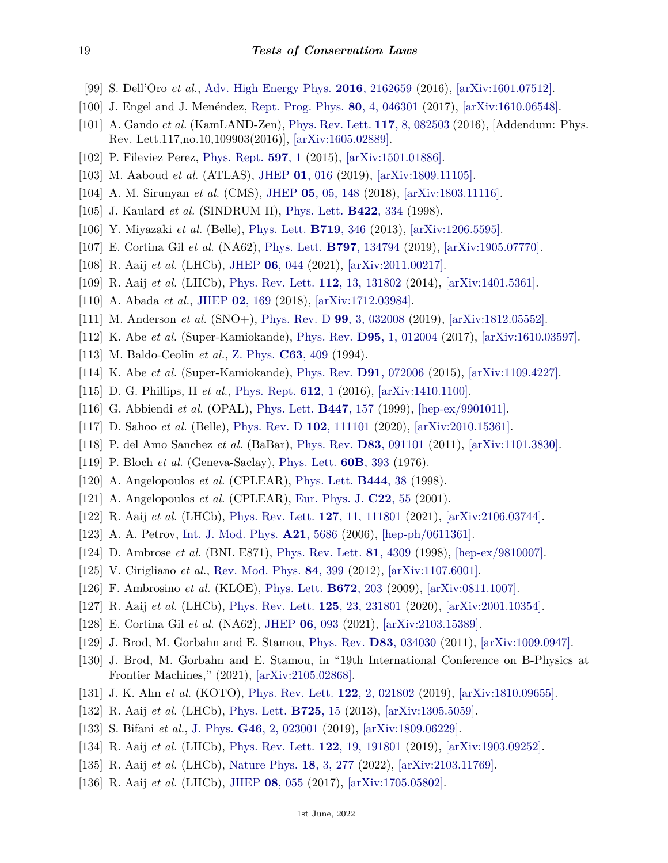- <span id="page-18-0"></span>[99] S. Dell'Oro *et al.*, [Adv. High Energy Phys.](http://doi.org/10.1155/2016/2162659) **2016**[, 2162659](http://doi.org/10.1155/2016/2162659) (2016), [\[arXiv:1601.07512\].](https://arxiv.org/abs/1601.07512)
- <span id="page-18-1"></span>[100] J. Engel and J. Menéndez, [Rept. Prog. Phys.](http://doi.org/10.1088/1361-6633/aa5bc5) **80**[, 4, 046301](http://doi.org/10.1088/1361-6633/aa5bc5) (2017), [\[arXiv:1610.06548\].](https://arxiv.org/abs/1610.06548)
- <span id="page-18-2"></span>[101] A. Gando *et al.* (KamLAND-Zen), [Phys. Rev. Lett.](http://doi.org/10.1103/PhysRevLett.117.109903) **117**[, 8, 082503](http://doi.org/10.1103/PhysRevLett.117.109903) (2016), [Addendum: Phys. Rev. Lett.117,no.10,109903(2016)], [\[arXiv:1605.02889\].](https://arxiv.org/abs/1605.02889)
- <span id="page-18-3"></span>[102] P. Fileviez Perez, [Phys. Rept.](http://doi.org/10.1016/j.physrep.2015.09.001) **[597](http://doi.org/10.1016/j.physrep.2015.09.001)**, 1 (2015), [\[arXiv:1501.01886\].](https://arxiv.org/abs/1501.01886)
- <span id="page-18-4"></span>[103] M. Aaboud *et al.* (ATLAS), [JHEP](http://doi.org/10.1007/JHEP01(2019)016) **01**[, 016](http://doi.org/10.1007/JHEP01(2019)016) (2019), [\[arXiv:1809.11105\].](https://arxiv.org/abs/1809.11105)
- <span id="page-18-5"></span>[104] A. M. Sirunyan *et al.* (CMS), [JHEP](http://doi.org/10.1007/JHEP05(2018)148) **05**[, 05, 148](http://doi.org/10.1007/JHEP05(2018)148) (2018), [\[arXiv:1803.11116\].](https://arxiv.org/abs/1803.11116)
- <span id="page-18-6"></span>[105] J. Kaulard *et al.* (SINDRUM II), [Phys. Lett.](http://doi.org/10.1016/S0370-2693(97)01423-8) **[B422](http://doi.org/10.1016/S0370-2693(97)01423-8)**, 334 (1998).
- <span id="page-18-7"></span>[106] Y. Miyazaki *et al.* (Belle), [Phys. Lett.](http://doi.org/10.1016/j.physletb.2013.01.032) **[B719](http://doi.org/10.1016/j.physletb.2013.01.032)**, 346 (2013), [\[arXiv:1206.5595\].](https://arxiv.org/abs/1206.5595)
- <span id="page-18-8"></span>[107] E. Cortina Gil *et al.* (NA62), [Phys. Lett.](http://doi.org/10.1016/j.physletb.2019.07.041) **B797**[, 134794](http://doi.org/10.1016/j.physletb.2019.07.041) (2019), [\[arXiv:1905.07770\].](https://arxiv.org/abs/1905.07770)
- <span id="page-18-9"></span>[108] R. Aaij *et al.* (LHCb), [JHEP](http://doi.org/10.1007/JHEP06(2021)044) **06**[, 044](http://doi.org/10.1007/JHEP06(2021)044) (2021), [\[arXiv:2011.00217\].](https://arxiv.org/abs/2011.00217)
- <span id="page-18-10"></span>[109] R. Aaij *et al.* (LHCb), [Phys. Rev. Lett.](http://doi.org/10.1103/PhysRevLett.112.131802) **112**[, 13, 131802](http://doi.org/10.1103/PhysRevLett.112.131802) (2014), [\[arXiv:1401.5361\].](https://arxiv.org/abs/1401.5361)
- <span id="page-18-11"></span>[110] A. Abada *et al.*, [JHEP](http://doi.org/10.1007/JHEP02(2018)169) **02**[, 169](http://doi.org/10.1007/JHEP02(2018)169) (2018), [\[arXiv:1712.03984\].](https://arxiv.org/abs/1712.03984)
- <span id="page-18-12"></span>[111] M. Anderson *et al.* (SNO+), [Phys. Rev. D](http://doi.org/10.1103/PhysRevD.99.032008) **99**[, 3, 032008](http://doi.org/10.1103/PhysRevD.99.032008) (2019), [\[arXiv:1812.05552\].](https://arxiv.org/abs/1812.05552)
- <span id="page-18-13"></span>[112] K. Abe *et al.* (Super-Kamiokande), [Phys. Rev.](http://doi.org/10.1103/PhysRevD.95.012004) **D95**[, 1, 012004](http://doi.org/10.1103/PhysRevD.95.012004) (2017), [\[arXiv:1610.03597\].](https://arxiv.org/abs/1610.03597)
- <span id="page-18-14"></span>[113] M. Baldo-Ceolin *et al.*, [Z. Phys.](http://doi.org/10.1007/BF01580321) **C63**[, 409](http://doi.org/10.1007/BF01580321) (1994).
- <span id="page-18-15"></span>[114] K. Abe *et al.* (Super-Kamiokande), [Phys. Rev.](http://doi.org/10.1103/PhysRevD.91.072006) **D91**[, 072006](http://doi.org/10.1103/PhysRevD.91.072006) (2015), [\[arXiv:1109.4227\].](https://arxiv.org/abs/1109.4227)
- <span id="page-18-16"></span>[115] D. G. Phillips, II *et al.*, [Phys. Rept.](http://doi.org/10.1016/j.physrep.2015.11.001) **[612](http://doi.org/10.1016/j.physrep.2015.11.001)**, 1 (2016), [\[arXiv:1410.1100\].](https://arxiv.org/abs/1410.1100)
- <span id="page-18-17"></span>[116] G. Abbiendi *et al.* (OPAL), [Phys. Lett.](http://doi.org/10.1016/S0370-2693(98)01570-6) **[B447](http://doi.org/10.1016/S0370-2693(98)01570-6)**, 157 (1999), [\[hep-ex/9901011\].](https://arxiv.org/abs/hep-ex/9901011)
- <span id="page-18-18"></span>[117] D. Sahoo *et al.* (Belle), [Phys. Rev. D](http://doi.org/10.1103/PhysRevD.102.111101) **102**[, 111101](http://doi.org/10.1103/PhysRevD.102.111101) (2020), [\[arXiv:2010.15361\].](https://arxiv.org/abs/2010.15361)
- <span id="page-18-19"></span>[118] P. del Amo Sanchez *et al.* (BaBar), [Phys. Rev.](http://doi.org/10.1103/PhysRevD.83.091101) **D83**[, 091101](http://doi.org/10.1103/PhysRevD.83.091101) (2011), [\[arXiv:1101.3830\].](https://arxiv.org/abs/1101.3830)
- <span id="page-18-20"></span>[119] P. Bloch *et al.* (Geneva-Saclay), [Phys. Lett.](http://doi.org/10.1016/0370-2693(76)90758-9) **60B**[, 393](http://doi.org/10.1016/0370-2693(76)90758-9) (1976).
- <span id="page-18-21"></span>[120] A. Angelopoulos *et al.* (CPLEAR), [Phys. Lett.](http://doi.org/10.1016/S0370-2693(98)01355-0) **[B444](http://doi.org/10.1016/S0370-2693(98)01355-0)**, 38 (1998).
- <span id="page-18-22"></span>[121] A. Angelopoulos *et al.* (CPLEAR), [Eur. Phys. J.](http://doi.org/10.1007/s100520100793) **[C22](http://doi.org/10.1007/s100520100793)**, 55 (2001).
- <span id="page-18-23"></span>[122] R. Aaij *et al.* (LHCb), [Phys. Rev. Lett.](http://doi.org/10.1103/PhysRevLett.127.111801) **127**[, 11, 111801](http://doi.org/10.1103/PhysRevLett.127.111801) (2021), [\[arXiv:2106.03744\].](https://arxiv.org/abs/2106.03744)
- <span id="page-18-24"></span>[123] A. A. Petrov, [Int. J. Mod. Phys.](http://doi.org/10.1142/S0217751X06034902) **A21**[, 5686](http://doi.org/10.1142/S0217751X06034902) (2006), [\[hep-ph/0611361\].](https://arxiv.org/abs/hep-ph/0611361)
- <span id="page-18-25"></span>[124] D. Ambrose *et al.* (BNL E871), [Phys. Rev. Lett.](http://doi.org/10.1103/PhysRevLett.81.4309) **81**[, 4309](http://doi.org/10.1103/PhysRevLett.81.4309) (1998), [\[hep-ex/9810007\].](https://arxiv.org/abs/hep-ex/9810007)
- <span id="page-18-26"></span>[125] V. Cirigliano *et al.*, [Rev. Mod. Phys.](http://doi.org/10.1103/RevModPhys.84.399) **84**[, 399](http://doi.org/10.1103/RevModPhys.84.399) (2012), [\[arXiv:1107.6001\].](https://arxiv.org/abs/1107.6001)
- <span id="page-18-27"></span>[126] F. Ambrosino *et al.* (KLOE), [Phys. Lett.](http://doi.org/10.1016/j.physletb.2009.01.037) **[B672](http://doi.org/10.1016/j.physletb.2009.01.037)**, 203 (2009), [\[arXiv:0811.1007\].](https://arxiv.org/abs/0811.1007)
- <span id="page-18-28"></span>[127] R. Aaij *et al.* (LHCb), [Phys. Rev. Lett.](http://doi.org/10.1103/PhysRevLett.125.231801) **125**[, 23, 231801](http://doi.org/10.1103/PhysRevLett.125.231801) (2020), [\[arXiv:2001.10354\].](https://arxiv.org/abs/2001.10354)
- <span id="page-18-29"></span>[128] E. Cortina Gil *et al.* (NA62), [JHEP](http://doi.org/10.1007/JHEP06(2021)093) **06**[, 093](http://doi.org/10.1007/JHEP06(2021)093) (2021), [\[arXiv:2103.15389\].](https://arxiv.org/abs/2103.15389)
- <span id="page-18-30"></span>[129] J. Brod, M. Gorbahn and E. Stamou, [Phys. Rev.](http://doi.org/10.1103/PhysRevD.83.034030) **D83**[, 034030](http://doi.org/10.1103/PhysRevD.83.034030) (2011), [\[arXiv:1009.0947\].](https://arxiv.org/abs/1009.0947)
- <span id="page-18-31"></span>[130] J. Brod, M. Gorbahn and E. Stamou, in "19th International Conference on B-Physics at Frontier Machines," (2021), [\[arXiv:2105.02868\].](https://arxiv.org/abs/2105.02868)
- <span id="page-18-32"></span>[131] J. K. Ahn *et al.* (KOTO), [Phys. Rev. Lett.](http://doi.org/10.1103/PhysRevLett.122.021802) **122**[, 2, 021802](http://doi.org/10.1103/PhysRevLett.122.021802) (2019), [\[arXiv:1810.09655\].](https://arxiv.org/abs/1810.09655)
- <span id="page-18-34"></span><span id="page-18-33"></span>[132] R. Aaij *et al.* (LHCb), [Phys. Lett.](http://doi.org/10.1016/j.physletb.2013.06.037) **[B725](http://doi.org/10.1016/j.physletb.2013.06.037)**, 15 (2013), [\[arXiv:1305.5059\].](https://arxiv.org/abs/1305.5059)
- [133] S. Bifani *et al.*, [J. Phys.](http://doi.org/10.1088/1361-6471/aaf5de) **G46**[, 2, 023001](http://doi.org/10.1088/1361-6471/aaf5de) (2019), [\[arXiv:1809.06229\].](https://arxiv.org/abs/1809.06229)
- <span id="page-18-36"></span><span id="page-18-35"></span>[134] R. Aaij *et al.* (LHCb), [Phys. Rev. Lett.](http://doi.org/10.1103/PhysRevLett.122.191801) **122**[, 19, 191801](http://doi.org/10.1103/PhysRevLett.122.191801) (2019), [\[arXiv:1903.09252\].](https://arxiv.org/abs/1903.09252)
- [135] R. Aaij *et al.* (LHCb), [Nature Phys.](http://doi.org/10.1038/s41567-021-01478-8) **18**[, 3, 277](http://doi.org/10.1038/s41567-021-01478-8) (2022), [\[arXiv:2103.11769\].](https://arxiv.org/abs/2103.11769)
- <span id="page-18-37"></span>[136] R. Aaij *et al.* (LHCb), [JHEP](http://doi.org/10.1007/JHEP08(2017)055) **08**[, 055](http://doi.org/10.1007/JHEP08(2017)055) (2017), [\[arXiv:1705.05802\].](https://arxiv.org/abs/1705.05802)